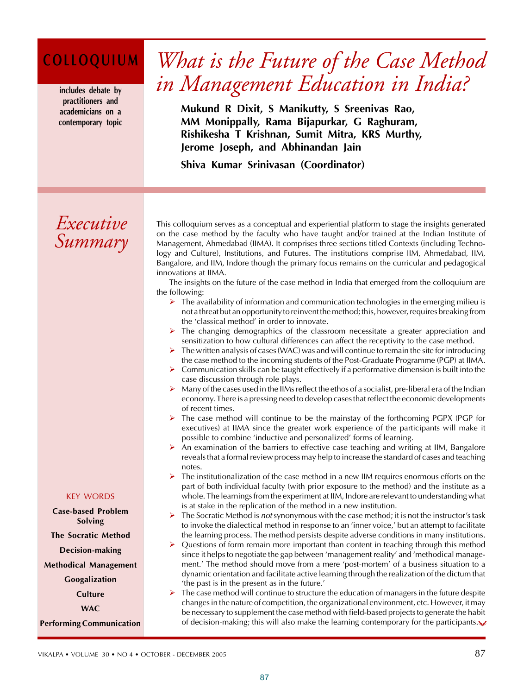# **COLLOQUIUM**

**includes debate by practitioners and academicians on a contemporary topic**

# *What is the Future of the Case Method in Management Education in India?*

**Mukund R Dixit, S Manikutty, S Sreenivas Rao, MM Monippally, Rama Bijapurkar, G Raghuram, Rishikesha T Krishnan, Sumit Mitra, KRS Murthy, Jerome Joseph, and Abhinandan Jain**

**Shiva Kumar Srinivasan (Coordinator)**

# *Executive Summary*

**T**his colloquium serves as a conceptual and experiential platform to stage the insights generated on the case method by the faculty who have taught and/or trained at the Indian Institute of Management, Ahmedabad (IIMA). It comprises three sections titled Contexts (including Technology and Culture), Institutions, and Futures. The institutions comprise IIM, Ahmedabad, IIM, Bangalore, and IIM, Indore though the primary focus remains on the curricular and pedagogical innovations at IIMA.

The insights on the future of the case method in India that emerged from the colloquium are the following:

- $\triangleright$  The availability of information and communication technologies in the emerging milieu is not a threat but an opportunity to reinvent the method; this, however, requires breaking from the 'classical method' in order to innovate.
- The changing demographics of the classroom necessitate a greater appreciation and sensitization to how cultural differences can affect the receptivity to the case method.
- ¾ The written analysis of cases (WAC) was and will continue to remain the site for introducing the case method to the incoming students of the Post-Graduate Programme (PGP) at IIMA.
- $\triangleright$  Communication skills can be taught effectively if a performative dimension is built into the case discussion through role plays.
- $\triangleright$  Many of the cases used in the IIMs reflect the ethos of a socialist, pre-liberal era of the Indian economy. There is a pressing need to develop cases that reflect the economic developments of recent times.
- The case method will continue to be the mainstay of the forthcoming PGPX (PGP for executives) at IIMA since the greater work experience of the participants will make it possible to combine 'inductive and personalized' forms of learning.
- An examination of the barriers to effective case teaching and writing at IIM, Bangalore reveals that a formal review process may help to increase the standard of cases and teaching notes.
- $\triangleright$  The institutionalization of the case method in a new IIM requires enormous efforts on the part of both individual faculty (with prior exposure to the method) and the institute as a whole. The learnings from the experiment at IIM, Indore are relevant to understanding what is at stake in the replication of the method in a new institution.
- ¾ The Socratic Method is *not* synonymous with the case method; it is not the instructor's task to invoke the dialectical method in response to an 'inner voice,' but an attempt to facilitate the learning process. The method persists despite adverse conditions in many institutions.
- ¾ Questions of form remain more important than content in teaching through this method since it helps to negotiate the gap between 'management reality' and 'methodical management.' The method should move from a mere 'post-mortem' of a business situation to a dynamic orientation and facilitate active learning through the realization of the dictum that 'the past is in the present as in the future.'
- $\triangleright$  The case method will continue to structure the education of managers in the future despite changes in the nature of competition, the organizational environment, etc. However, it may be necessary to supplement the case method with field-based projects to generate the habit of decision-making; this will also make the learning contemporary for the participants. $\vee$

### KEY WORDS

**Case-based Problem Solving The Socratic Method Decision-making Methodical Management Googalization Culture WAC**

**Performing Communication**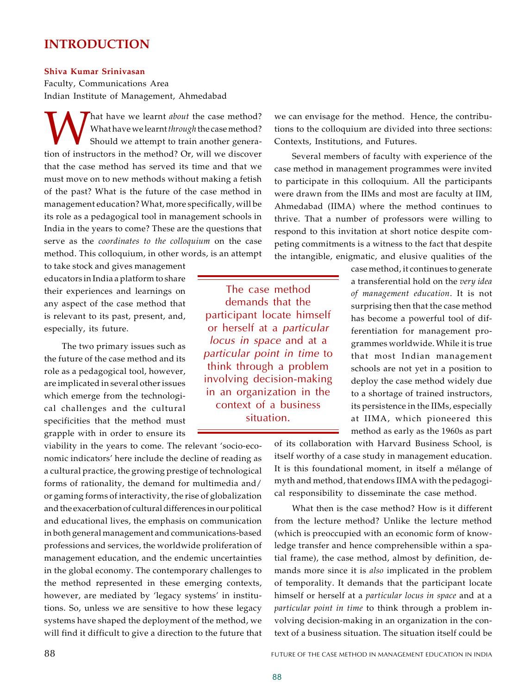# **INTRODUCTION**

### **Shiva Kumar Srinivasan**

Faculty, Communications Area Indian Institute of Management, Ahmedabad

What have we learnt *about* the case method?<br>
Should we attempt to train another genera-<br>
tion of instructors in the method? Or, will we discover hat have we learnt *about* the case method? What have we learnt *through* the case method? Should we attempt to train another generathat the case method has served its time and that we must move on to new methods without making a fetish of the past? What is the future of the case method in management education? What, more specifically, will be its role as a pedagogical tool in management schools in India in the years to come? These are the questions that serve as the *coordinates to the colloquium* on the case method. This colloquium, in other words, is an attempt

to take stock and gives management educators in India a platform to share their experiences and learnings on any aspect of the case method that is relevant to its past, present, and, especially, its future.

The two primary issues such as the future of the case method and its role as a pedagogical tool, however, are implicated in several other issues which emerge from the technological challenges and the cultural specificities that the method must grapple with in order to ensure its

viability in the years to come. The relevant 'socio-economic indicators' here include the decline of reading as a cultural practice, the growing prestige of technological forms of rationality, the demand for multimedia and/ or gaming forms of interactivity, the rise of globalization and the exacerbation of cultural differences in our political and educational lives, the emphasis on communication in both general management and communications-based professions and services, the worldwide proliferation of management education, and the endemic uncertainties in the global economy. The contemporary challenges to the method represented in these emerging contexts, however, are mediated by 'legacy systems' in institutions. So, unless we are sensitive to how these legacy systems have shaped the deployment of the method, we will find it difficult to give a direction to the future that we can envisage for the method. Hence, the contributions to the colloquium are divided into three sections: Contexts, Institutions, and Futures.

Several members of faculty with experience of the case method in management programmes were invited to participate in this colloquium. All the participants were drawn from the IIMs and most are faculty at IIM, Ahmedabad (IIMA) where the method continues to thrive. That a number of professors were willing to respond to this invitation at short notice despite competing commitments is a witness to the fact that despite the intangible, enigmatic, and elusive qualities of the

> case method, it continues to generate a transferential hold on the *very idea of management education*. It is not surprising then that the case method has become a powerful tool of differentiation for management programmes worldwide. While it is true that most Indian management schools are not yet in a position to deploy the case method widely due to a shortage of trained instructors, its persistence in the IIMs, especially at IIMA, which pioneered this method as early as the 1960s as part

of its collaboration with Harvard Business School, is itself worthy of a case study in management education. It is this foundational moment, in itself a mélange of myth and method, that endows IIMA with the pedagogical responsibility to disseminate the case method.

What then is the case method? How is it different from the lecture method? Unlike the lecture method (which is preoccupied with an economic form of knowledge transfer and hence comprehensible within a spatial frame), the case method, almost by definition, demands more since it is *also* implicated in the problem of temporality. It demands that the participant locate himself or herself at a *particular locus in space* and at a *particular point in time* to think through a problem involving decision-making in an organization in the context of a business situation. The situation itself could be

demands that the participant locate himself or herself at a *particular locus in space* and at a *particular point in time* to think through a problem involving decision-making in an organization in the context of a business situation.

The case method

88 FUTURE OF THE CASE METHOD IN MANAGEMENT EDUCATION IN INDIA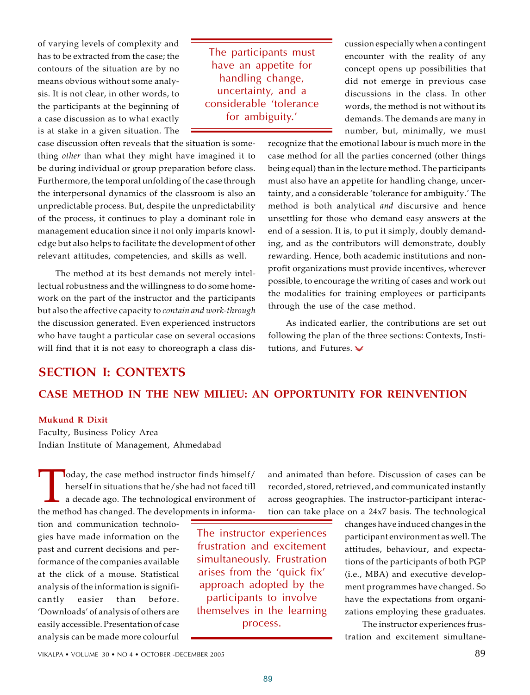of varying levels of complexity and has to be extracted from the case; the contours of the situation are by no means obvious without some analysis. It is not clear, in other words, to the participants at the beginning of a case discussion as to what exactly is at stake in a given situation. The

The participants must have an appetite for handling change, uncertainty, and a considerable 'tolerance for ambiguity.'

cussion especially when a contingent encounter with the reality of any concept opens up possibilities that did not emerge in previous case discussions in the class. In other words, the method is not without its demands. The demands are many in number, but, minimally, we must

case discussion often reveals that the situation is something *other* than what they might have imagined it to be during individual or group preparation before class. Furthermore, the temporal unfolding of the case through the interpersonal dynamics of the classroom is also an unpredictable process. But, despite the unpredictability of the process, it continues to play a dominant role in management education since it not only imparts knowledge but also helps to facilitate the development of other relevant attitudes, competencies, and skills as well.

The method at its best demands not merely intellectual robustness and the willingness to do some homework on the part of the instructor and the participants but also the affective capacity to *contain and work-through* the discussion generated. Even experienced instructors who have taught a particular case on several occasions will find that it is not easy to choreograph a class disrecognize that the emotional labour is much more in the case method for all the parties concerned (other things being equal) than in the lecture method. The participants must also have an appetite for handling change, uncertainty, and a considerable 'tolerance for ambiguity.' The method is both analytical *and* discursive and hence unsettling for those who demand easy answers at the end of a session. It is, to put it simply, doubly demanding, and as the contributors will demonstrate, doubly rewarding. Hence, both academic institutions and nonprofit organizations must provide incentives, wherever possible, to encourage the writing of cases and work out the modalities for training employees or participants through the use of the case method.

As indicated earlier, the contributions are set out following the plan of the three sections: Contexts, Institutions, and Futures.

# **SECTION I: CONTEXTS CASE METHOD IN THE NEW MILIEU: AN OPPORTUNITY FOR REINVENTION**

### **Mukund R Dixit**

Faculty, Business Policy Area Indian Institute of Management, Ahmedabad

Today, the case method instructor finds himself/<br>herself in situations that he/she had not faced till<br>a decade ago. The technological environment of<br>the method has changed. The developments in informaloday, the case method instructor finds himself/ herself in situations that he/she had not faced till a decade ago. The technological environment of

tion and communication technologies have made information on the past and current decisions and performance of the companies available at the click of a mouse. Statistical analysis of the information is significantly easier than before. 'Downloads' of analysis of others are easily accessible. Presentation of case analysis can be made more colourful

The instructor experiences frustration and excitement simultaneously. Frustration arises from the 'quick fix' approach adopted by the participants to involve themselves in the learning process.

and animated than before. Discussion of cases can be recorded, stored, retrieved, and communicated instantly across geographies. The instructor-participant interaction can take place on a 24x7 basis. The technological

> changes have induced changes in the participant environment as well. The attitudes, behaviour, and expectations of the participants of both PGP (i.e., MBA) and executive development programmes have changed. So have the expectations from organizations employing these graduates.

> The instructor experiences frustration and excitement simultane-

VIKALPA • VOLUME  $30 \cdot NO 4 \cdot OCTOBER - DECEMBER 2005$  89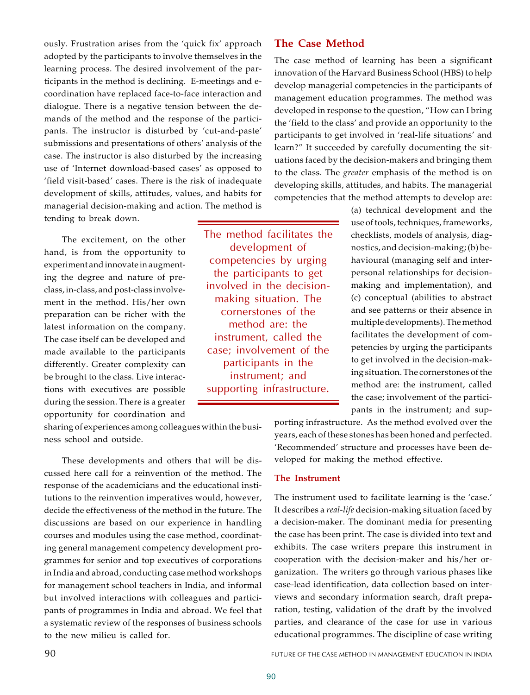ously. Frustration arises from the 'quick fix' approach adopted by the participants to involve themselves in the learning process. The desired involvement of the participants in the method is declining. E-meetings and ecoordination have replaced face-to-face interaction and dialogue. There is a negative tension between the demands of the method and the response of the participants. The instructor is disturbed by 'cut-and-paste' submissions and presentations of others' analysis of the case. The instructor is also disturbed by the increasing use of 'Internet download-based cases' as opposed to 'field visit-based' cases. There is the risk of inadequate development of skills, attitudes, values, and habits for managerial decision-making and action. The method is tending to break down.

The excitement, on the other hand, is from the opportunity to experiment and innovate in augmenting the degree and nature of preclass, in-class, and post-class involvement in the method. His/her own preparation can be richer with the latest information on the company. The case itself can be developed and made available to the participants differently. Greater complexity can be brought to the class. Live interactions with executives are possible during the session. There is a greater opportunity for coordination and

sharing of experiences among colleagues within the business school and outside.

These developments and others that will be discussed here call for a reinvention of the method. The response of the academicians and the educational institutions to the reinvention imperatives would, however, decide the effectiveness of the method in the future. The discussions are based on our experience in handling courses and modules using the case method, coordinating general management competency development programmes for senior and top executives of corporations in India and abroad, conducting case method workshops for management school teachers in India, and informal but involved interactions with colleagues and participants of programmes in India and abroad. We feel that a systematic review of the responses of business schools to the new milieu is called for.

The method facilitates the development of competencies by urging the participants to get involved in the decisionmaking situation. The cornerstones of the method are: the instrument, called the case; involvement of the participants in the instrument; and supporting infrastructure.

# **The Case Method**

The case method of learning has been a significant innovation of the Harvard Business School (HBS) to help develop managerial competencies in the participants of management education programmes. The method was developed in response to the question, "How can I bring the 'field to the class' and provide an opportunity to the participants to get involved in 'real-life situations' and learn?" It succeeded by carefully documenting the situations faced by the decision-makers and bringing them to the class. The *greater* emphasis of the method is on developing skills, attitudes, and habits. The managerial competencies that the method attempts to develop are:

> (a) technical development and the use of tools, techniques, frameworks, checklists, models of analysis, diagnostics, and decision-making; (b) behavioural (managing self and interpersonal relationships for decisionmaking and implementation), and (c) conceptual (abilities to abstract and see patterns or their absence in multiple developments). The method facilitates the development of competencies by urging the participants to get involved in the decision-making situation. The cornerstones of the method are: the instrument, called the case; involvement of the participants in the instrument; and sup-

porting infrastructure. As the method evolved over the years, each of these stones has been honed and perfected. 'Recommended' structure and processes have been developed for making the method effective.

### **The Instrument**

The instrument used to facilitate learning is the 'case.' It describes a *real-life* decision-making situation faced by a decision-maker. The dominant media for presenting the case has been print. The case is divided into text and exhibits. The case writers prepare this instrument in cooperation with the decision-maker and his/her organization. The writers go through various phases like case-lead identification, data collection based on interviews and secondary information search, draft preparation, testing, validation of the draft by the involved parties, and clearance of the case for use in various educational programmes. The discipline of case writing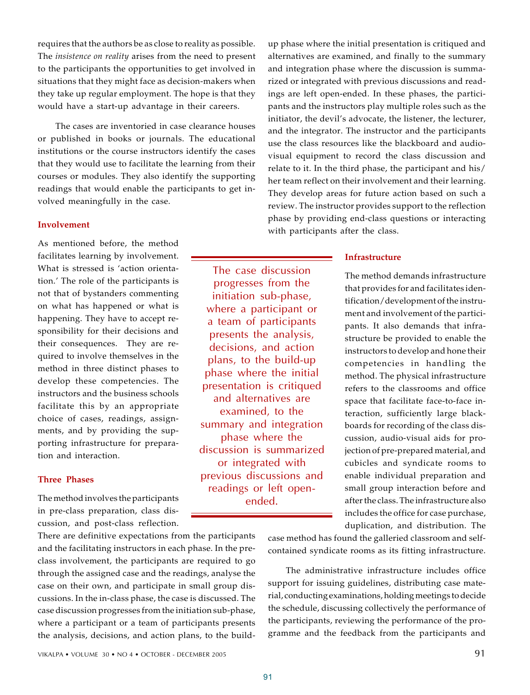requires that the authors be as close to reality as possible. The *insistence on reality* arises from the need to present to the participants the opportunities to get involved in situations that they might face as decision-makers when they take up regular employment. The hope is that they would have a start-up advantage in their careers.

The cases are inventoried in case clearance houses or published in books or journals. The educational institutions or the course instructors identify the cases that they would use to facilitate the learning from their courses or modules. They also identify the supporting readings that would enable the participants to get involved meaningfully in the case.

### **Involvement**

As mentioned before, the method facilitates learning by involvement. What is stressed is 'action orientation.' The role of the participants is not that of bystanders commenting on what has happened or what is happening. They have to accept responsibility for their decisions and their consequences. They are required to involve themselves in the method in three distinct phases to develop these competencies. The instructors and the business schools facilitate this by an appropriate choice of cases, readings, assignments, and by providing the supporting infrastructure for preparation and interaction.

### **Three Phases**

The method involves the participants in pre-class preparation, class discussion, and post-class reflection.

There are definitive expectations from the participants and the facilitating instructors in each phase. In the preclass involvement, the participants are required to go through the assigned case and the readings, analyse the case on their own, and participate in small group discussions. In the in-class phase, the case is discussed. The case discussion progresses from the initiation sub-phase, where a participant or a team of participants presents the analysis, decisions, and action plans, to the buildup phase where the initial presentation is critiqued and alternatives are examined, and finally to the summary and integration phase where the discussion is summarized or integrated with previous discussions and readings are left open-ended. In these phases, the participants and the instructors play multiple roles such as the initiator, the devil's advocate, the listener, the lecturer, and the integrator. The instructor and the participants use the class resources like the blackboard and audiovisual equipment to record the class discussion and relate to it. In the third phase, the participant and his/ her team reflect on their involvement and their learning. They develop areas for future action based on such a review. The instructor provides support to the reflection phase by providing end-class questions or interacting with participants after the class.

### **Infrastructure**

The method demands infrastructure that provides for and facilitates identification/development of the instrument and involvement of the participants. It also demands that infrastructure be provided to enable the instructors to develop and hone their competencies in handling the method. The physical infrastructure refers to the classrooms and office space that facilitate face-to-face interaction, sufficiently large blackboards for recording of the class discussion, audio-visual aids for projection of pre-prepared material, and cubicles and syndicate rooms to enable individual preparation and small group interaction before and after the class. The infrastructure also includes the office for case purchase, duplication, and distribution. The

case method has found the galleried classroom and selfcontained syndicate rooms as its fitting infrastructure.

The administrative infrastructure includes office support for issuing guidelines, distributing case material, conducting examinations, holding meetings to decide the schedule, discussing collectively the performance of the participants, reviewing the performance of the programme and the feedback from the participants and

The case discussion progresses from the initiation sub-phase, where a participant or a team of participants presents the analysis, decisions, and action plans, to the build-up phase where the initial presentation is critiqued and alternatives are examined, to the summary and integration phase where the discussion is summarized or integrated with previous discussions and readings or left openended.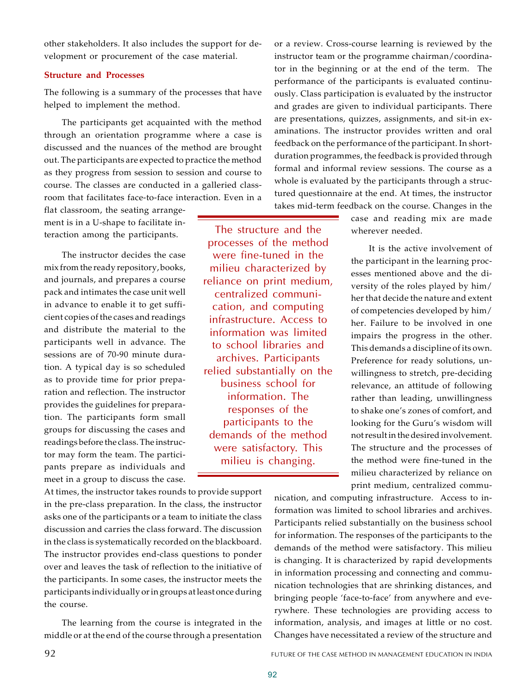other stakeholders. It also includes the support for development or procurement of the case material.

### **Structure and Processes**

The following is a summary of the processes that have helped to implement the method.

The participants get acquainted with the method through an orientation programme where a case is discussed and the nuances of the method are brought out. The participants are expected to practice the method as they progress from session to session and course to course. The classes are conducted in a galleried classroom that facilitates face-to-face interaction. Even in a

flat classroom, the seating arrangement is in a U-shape to facilitate interaction among the participants.

The instructor decides the case mix from the ready repository, books, and journals, and prepares a course pack and intimates the case unit well in advance to enable it to get sufficient copies of the cases and readings and distribute the material to the participants well in advance. The sessions are of 70-90 minute duration. A typical day is so scheduled as to provide time for prior preparation and reflection. The instructor provides the guidelines for preparation. The participants form small groups for discussing the cases and readings before the class. The instructor may form the team. The participants prepare as individuals and meet in a group to discuss the case.

At times, the instructor takes rounds to provide support in the pre-class preparation. In the class, the instructor asks one of the participants or a team to initiate the class discussion and carries the class forward. The discussion in the class is systematically recorded on the blackboard. The instructor provides end-class questions to ponder over and leaves the task of reflection to the initiative of the participants. In some cases, the instructor meets the participants individually or in groups at least once during the course.

The learning from the course is integrated in the middle or at the end of the course through a presentation

or a review. Cross-course learning is reviewed by the instructor team or the programme chairman/coordinator in the beginning or at the end of the term. The performance of the participants is evaluated continuously. Class participation is evaluated by the instructor and grades are given to individual participants. There are presentations, quizzes, assignments, and sit-in examinations. The instructor provides written and oral feedback on the performance of the participant. In shortduration programmes, the feedback is provided through formal and informal review sessions. The course as a whole is evaluated by the participants through a structured questionnaire at the end. At times, the instructor takes mid-term feedback on the course. Changes in the

> case and reading mix are made wherever needed.

It is the active involvement of the participant in the learning processes mentioned above and the diversity of the roles played by him/ her that decide the nature and extent of competencies developed by him/ her. Failure to be involved in one impairs the progress in the other. This demands a discipline of its own. Preference for ready solutions, unwillingness to stretch, pre-deciding relevance, an attitude of following rather than leading, unwillingness to shake one's zones of comfort, and looking for the Guru's wisdom will not result in the desired involvement. The structure and the processes of the method were fine-tuned in the milieu characterized by reliance on print medium, centralized commu-

nication, and computing infrastructure. Access to information was limited to school libraries and archives. Participants relied substantially on the business school for information. The responses of the participants to the demands of the method were satisfactory. This milieu is changing. It is characterized by rapid developments in information processing and connecting and communication technologies that are shrinking distances, and bringing people 'face-to-face' from anywhere and everywhere. These technologies are providing access to information, analysis, and images at little or no cost. Changes have necessitated a review of the structure and

The structure and the processes of the method were fine-tuned in the milieu characterized by reliance on print medium, centralized communication, and computing infrastructure. Access to information was limited to school libraries and archives. Participants relied substantially on the business school for information. The responses of the participants to the demands of the method were satisfactory. This milieu is changing.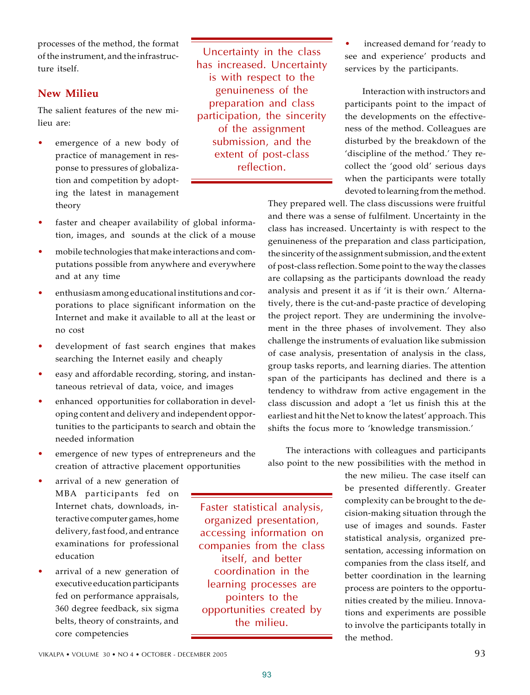processes of the method, the format of the instrument, and the infrastructure itself.

# **New Milieu**

The salient features of the new milieu are:

emergence of a new body of practice of management in response to pressures of globalization and competition by adopting the latest in management theory

Uncertainty in the class has increased. Uncertainty is with respect to the genuineness of the preparation and class participation, the sincerity of the assignment submission, and the extent of post-class reflection.

increased demand for 'ready to see and experience' products and services by the participants.

Interaction with instructors and participants point to the impact of the developments on the effectiveness of the method. Colleagues are disturbed by the breakdown of the 'discipline of the method.' They recollect the 'good old' serious days when the participants were totally devoted to learning from the method.

They prepared well. The class discussions were fruitful and there was a sense of fulfilment. Uncertainty in the class has increased. Uncertainty is with respect to the genuineness of the preparation and class participation, the sincerity of the assignment submission, and the extent of post-class reflection. Some point to the way the classes are collapsing as the participants download the ready analysis and present it as if 'it is their own.' Alternatively, there is the cut-and-paste practice of developing the project report. They are undermining the involvement in the three phases of involvement. They also challenge the instruments of evaluation like submission of case analysis, presentation of analysis in the class, group tasks reports, and learning diaries. The attention span of the participants has declined and there is a tendency to withdraw from active engagement in the class discussion and adopt a 'let us finish this at the earliest and hit the Net to know the latest' approach. This shifts the focus more to 'knowledge transmission.'

The interactions with colleagues and participants also point to the new possibilities with the method in

> the new milieu. The case itself can be presented differently. Greater complexity can be brought to the decision-making situation through the use of images and sounds. Faster statistical analysis, organized presentation, accessing information on companies from the class itself, and better coordination in the learning process are pointers to the opportunities created by the milieu. Innovations and experiments are possible to involve the participants totally in the method.

- faster and cheaper availability of global information, images, and sounds at the click of a mouse
- mobile technologies that make interactions and computations possible from anywhere and everywhere and at any time
- $\bullet$  enthusiasm among educational institutions and corporations to place significant information on the Internet and make it available to all at the least or no cost
- development of fast search engines that makes searching the Internet easily and cheaply
- easy and affordable recording, storing, and instantaneous retrieval of data, voice, and images
- enhanced opportunities for collaboration in developing content and delivery and independent opportunities to the participants to search and obtain the needed information
- emergence of new types of entrepreneurs and the creation of attractive placement opportunities
- arrival of a new generation of MBA participants fed on Internet chats, downloads, interactive computer games, home delivery, fast food, and entrance examinations for professional education
- arrival of a new generation of executive education participants fed on performance appraisals, 360 degree feedback, six sigma belts, theory of constraints, and core competencies

Faster statistical analysis, organized presentation, accessing information on companies from the class itself, and better coordination in the learning processes are pointers to the opportunities created by the milieu.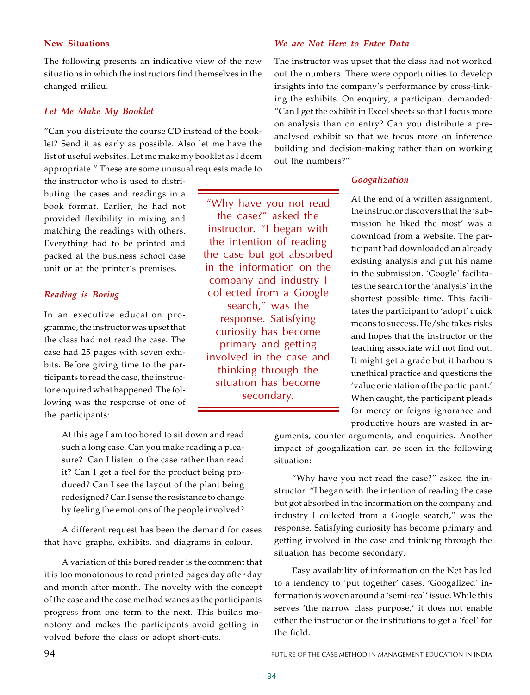### **New Situations**

The following presents an indicative view of the new situations in which the instructors find themselves in the changed milieu.

### *Let Me Make My Booklet*

"Can you distribute the course CD instead of the booklet? Send it as early as possible. Also let me have the list of useful websites. Let me make my booklet as I deem appropriate." These are some unusual requests made to

the instructor who is used to distributing the cases and readings in a book format. Earlier, he had not provided flexibility in mixing and matching the readings with others. Everything had to be printed and packed at the business school case unit or at the printer's premises.

### *Reading is Boring*

In an executive education programme, the instructor was upset that the class had not read the case. The case had 25 pages with seven exhibits. Before giving time to the participants to read the case, the instructor enquired what happened. The following was the response of one of the participants:

> At this age I am too bored to sit down and read such a long case. Can you make reading a pleasure? Can I listen to the case rather than read it? Can I get a feel for the product being produced? Can I see the layout of the plant being redesigned? Can I sense the resistance to change by feeling the emotions of the people involved?

A different request has been the demand for cases that have graphs, exhibits, and diagrams in colour.

A variation of this bored reader is the comment that it is too monotonous to read printed pages day after day and month after month. The novelty with the concept of the case and the case method wanes as the participants progress from one term to the next. This builds monotony and makes the participants avoid getting involved before the class or adopt short-cuts.

### *We are Not Here to Enter Data*

The instructor was upset that the class had not worked out the numbers. There were opportunities to develop insights into the company's performance by cross-linking the exhibits. On enquiry, a participant demanded: "Can I get the exhibit in Excel sheets so that I focus more on analysis than on entry? Can you distribute a preanalysed exhibit so that we focus more on inference building and decision-making rather than on working out the numbers?"

### *Googalization*

At the end of a written assignment, the instructor discovers that the 'submission he liked the most' was a download from a website. The participant had downloaded an already existing analysis and put his name in the submission. 'Google' facilitates the search for the 'analysis' in the shortest possible time. This facilitates the participant to 'adopt' quick means to success. He/she takes risks and hopes that the instructor or the teaching associate will not find out. It might get a grade but it harbours unethical practice and questions the 'value orientation of the participant.' When caught, the participant pleads for mercy or feigns ignorance and productive hours are wasted in ar-

guments, counter arguments, and enquiries. Another impact of googalization can be seen in the following situation:

"Why have you not read the case?" asked the instructor. "I began with the intention of reading the case but got absorbed in the information on the company and industry I collected from a Google search," was the response. Satisfying curiosity has become primary and getting involved in the case and thinking through the situation has become secondary.

Easy availability of information on the Net has led to a tendency to 'put together' cases. 'Googalized' information is woven around a 'semi-real' issue. While this serves 'the narrow class purpose,' it does not enable either the instructor or the institutions to get a 'feel' for the field.

"Why have you not read the case?" asked the instructor. "I began with the intention of reading the case but got absorbed in the information on the company and industry I collected from a Google search," was the response. Satisfying curiosity has become primary and getting involved in the case and thinking through the situation has become secondary.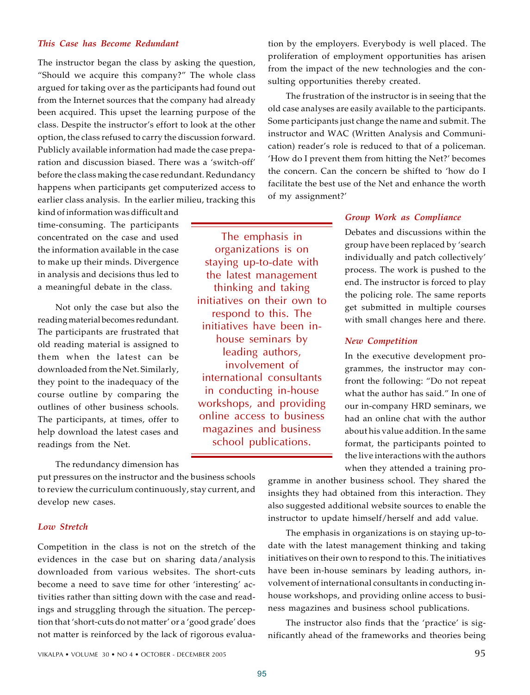### *This Case has Become Redundant*

The instructor began the class by asking the question, "Should we acquire this company?" The whole class argued for taking over as the participants had found out from the Internet sources that the company had already been acquired. This upset the learning purpose of the class. Despite the instructor's effort to look at the other option, the class refused to carry the discussion forward. Publicly available information had made the case preparation and discussion biased. There was a 'switch-off' before the class making the case redundant. Redundancy happens when participants get computerized access to earlier class analysis. In the earlier milieu, tracking this

kind of information was difficult and time-consuming. The participants concentrated on the case and used the information available in the case to make up their minds. Divergence in analysis and decisions thus led to a meaningful debate in the class.

Not only the case but also the reading material becomes redundant. The participants are frustrated that old reading material is assigned to them when the latest can be downloaded from the Net. Similarly, they point to the inadequacy of the course outline by comparing the outlines of other business schools. The participants, at times, offer to help download the latest cases and readings from the Net.

The redundancy dimension has

put pressures on the instructor and the business schools to review the curriculum continuously, stay current, and develop new cases.

### *Low Stretch*

Competition in the class is not on the stretch of the evidences in the case but on sharing data/analysis downloaded from various websites. The short-cuts become a need to save time for other 'interesting' activities rather than sitting down with the case and readings and struggling through the situation. The perception that 'short-cuts do not matter' or a 'good grade' does not matter is reinforced by the lack of rigorous evaluation by the employers. Everybody is well placed. The proliferation of employment opportunities has arisen from the impact of the new technologies and the consulting opportunities thereby created.

The frustration of the instructor is in seeing that the old case analyses are easily available to the participants. Some participants just change the name and submit. The instructor and WAC (Written Analysis and Communication) reader's role is reduced to that of a policeman. 'How do I prevent them from hitting the Net?' becomes the concern. Can the concern be shifted to 'how do I facilitate the best use of the Net and enhance the worth of my assignment?'

The emphasis in organizations is on staying up-to-date with the latest management thinking and taking initiatives on their own to respond to this. The initiatives have been inhouse seminars by leading authors, involvement of international consultants in conducting in-house workshops, and providing online access to business magazines and business school publications.

95

#### *Group Work as Compliance*

Debates and discussions within the group have been replaced by 'search individually and patch collectively' process. The work is pushed to the end. The instructor is forced to play the policing role. The same reports get submitted in multiple courses with small changes here and there.

#### *New Competition*

In the executive development programmes, the instructor may confront the following: "Do not repeat what the author has said." In one of our in-company HRD seminars, we had an online chat with the author about his value addition. In the same format, the participants pointed to the live interactions with the authors when they attended a training pro-

gramme in another business school. They shared the insights they had obtained from this interaction. They also suggested additional website sources to enable the instructor to update himself/herself and add value.

The emphasis in organizations is on staying up-todate with the latest management thinking and taking initiatives on their own to respond to this. The initiatives have been in-house seminars by leading authors, involvement of international consultants in conducting inhouse workshops, and providing online access to business magazines and business school publications.

The instructor also finds that the 'practice' is significantly ahead of the frameworks and theories being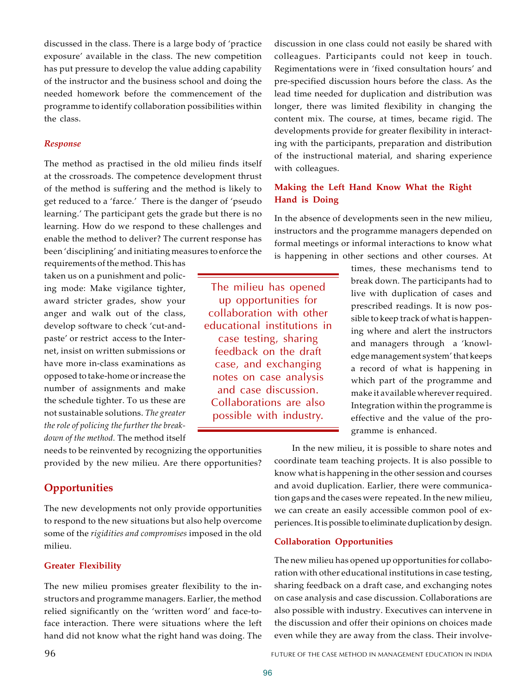discussed in the class. There is a large body of 'practice exposure' available in the class. The new competition has put pressure to develop the value adding capability of the instructor and the business school and doing the needed homework before the commencement of the programme to identify collaboration possibilities within the class.

### *Response*

The method as practised in the old milieu finds itself at the crossroads. The competence development thrust of the method is suffering and the method is likely to get reduced to a 'farce.' There is the danger of 'pseudo learning.' The participant gets the grade but there is no learning. How do we respond to these challenges and enable the method to deliver? The current response has been 'disciplining' and initiating measures to enforce the

requirements of the method. This has taken us on a punishment and policing mode: Make vigilance tighter, award stricter grades, show your anger and walk out of the class, develop software to check 'cut-andpaste' or restrict access to the Internet, insist on written submissions or have more in-class examinations as opposed to take-home or increase the number of assignments and make the schedule tighter. To us these are not sustainable solutions. *The greater the role of policing the further the breakdown of the method.* The method itself

needs to be reinvented by recognizing the opportunities provided by the new milieu. Are there opportunities?

# **Opportunities**

The new developments not only provide opportunities to respond to the new situations but also help overcome some of the *rigidities and compromises* imposed in the old milieu.

### **Greater Flexibility**

The new milieu promises greater flexibility to the instructors and programme managers. Earlier, the method relied significantly on the 'written word' and face-toface interaction. There were situations where the left hand did not know what the right hand was doing. The

discussion in one class could not easily be shared with colleagues. Participants could not keep in touch. Regimentations were in 'fixed consultation hours' and pre-specified discussion hours before the class. As the lead time needed for duplication and distribution was longer, there was limited flexibility in changing the content mix. The course, at times, became rigid. The developments provide for greater flexibility in interacting with the participants, preparation and distribution of the instructional material, and sharing experience with colleagues.

### **Making the Left Hand Know What the Right Hand is Doing**

In the absence of developments seen in the new milieu, instructors and the programme managers depended on formal meetings or informal interactions to know what is happening in other sections and other courses. At

The milieu has opened up opportunities for collaboration with other educational institutions in case testing, sharing feedback on the draft case, and exchanging notes on case analysis and case discussion. Collaborations are also possible with industry.

times, these mechanisms tend to break down. The participants had to live with duplication of cases and prescribed readings. It is now possible to keep track of what is happening where and alert the instructors and managers through a 'knowledge management system' that keeps a record of what is happening in which part of the programme and make it available wherever required. Integration within the programme is effective and the value of the programme is enhanced.

In the new milieu, it is possible to share notes and coordinate team teaching projects. It is also possible to know what is happening in the other session and courses and avoid duplication. Earlier, there were communication gaps and the cases were repeated. In the new milieu, we can create an easily accessible common pool of experiences. It is possible to eliminate duplication by design.

### **Collaboration Opportunities**

The new milieu has opened up opportunities for collaboration with other educational institutions in case testing, sharing feedback on a draft case, and exchanging notes on case analysis and case discussion. Collaborations are also possible with industry. Executives can intervene in the discussion and offer their opinions on choices made even while they are away from the class. Their involve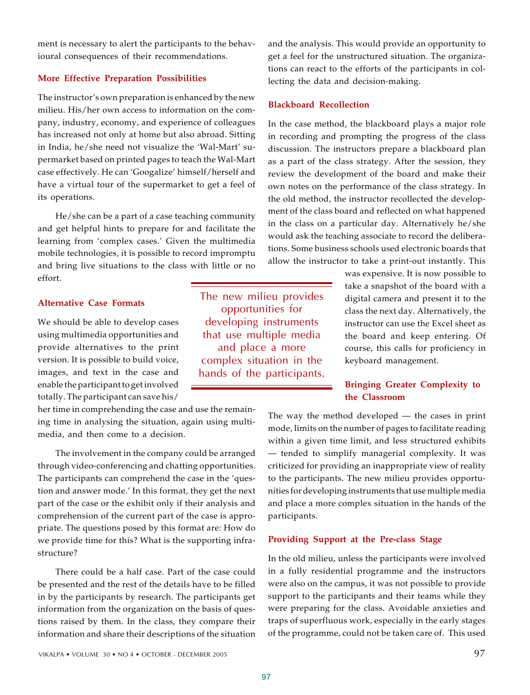ment is necessary to alert the participants to the behavioural consequences of their recommendations.

### **More Effective Preparation Possibilities**

The instructor's own preparation is enhanced by the new milieu. His/her own access to information on the company, industry, economy, and experience of colleagues has increased not only at home but also abroad. Sitting in India, he/she need not visualize the 'Wal-Mart' supermarket based on printed pages to teach the Wal-Mart case effectively. He can 'Googalize' himself/herself and have a virtual tour of the supermarket to get a feel of its operations.

He/she can be a part of a case teaching community and get helpful hints to prepare for and facilitate the learning from 'complex cases.' Given the multimedia mobile technologies, it is possible to record impromptu and bring live situations to the class with little or no effort.

### **Alternative Case Formats**

We should be able to develop cases using multimedia opportunities and provide alternatives to the print version. It is possible to build voice, images, and text in the case and enable the participant to get involved totally. The participant can save his/

her time in comprehending the case and use the remaining time in analysing the situation, again using multimedia, and then come to a decision.

The involvement in the company could be arranged through video-conferencing and chatting opportunities. The participants can comprehend the case in the 'question and answer mode.' In this format, they get the next part of the case or the exhibit only if their analysis and comprehension of the current part of the case is appropriate. The questions posed by this format are: How do we provide time for this? What is the supporting infrastructure?

There could be a half case. Part of the case could be presented and the rest of the details have to be filled in by the participants by research. The participants get information from the organization on the basis of questions raised by them. In the class, they compare their information and share their descriptions of the situation

The new milieu provides opportunities for developing instruments that use multiple media and place a more complex situation in the hands of the participants.

and the analysis. This would provide an opportunity to get a feel for the unstructured situation. The organizations can react to the efforts of the participants in collecting the data and decision-making.

### **Blackboard Recollection**

In the case method, the blackboard plays a major role in recording and prompting the progress of the class discussion. The instructors prepare a blackboard plan as a part of the class strategy. After the session, they review the development of the board and make their own notes on the performance of the class strategy. In the old method, the instructor recollected the development of the class board and reflected on what happened in the class on a particular day. Alternatively he/she would ask the teaching associate to record the deliberations. Some business schools used electronic boards that allow the instructor to take a print-out instantly. This

> was expensive. It is now possible to take a snapshot of the board with a digital camera and present it to the class the next day. Alternatively, the instructor can use the Excel sheet as the board and keep entering. Of course, this calls for proficiency in keyboard management.

## **Bringing Greater Complexity to the Classroom**

The way the method developed — the cases in print mode, limits on the number of pages to facilitate reading within a given time limit, and less structured exhibits — tended to simplify managerial complexity. It was criticized for providing an inappropriate view of reality to the participants. The new milieu provides opportunities for developing instruments that use multiple media and place a more complex situation in the hands of the participants.

### **Providing Support at the Pre-class Stage**

In the old milieu, unless the participants were involved in a fully residential programme and the instructors were also on the campus, it was not possible to provide support to the participants and their teams while they were preparing for the class. Avoidable anxieties and traps of superfluous work, especially in the early stages of the programme, could not be taken care of. This used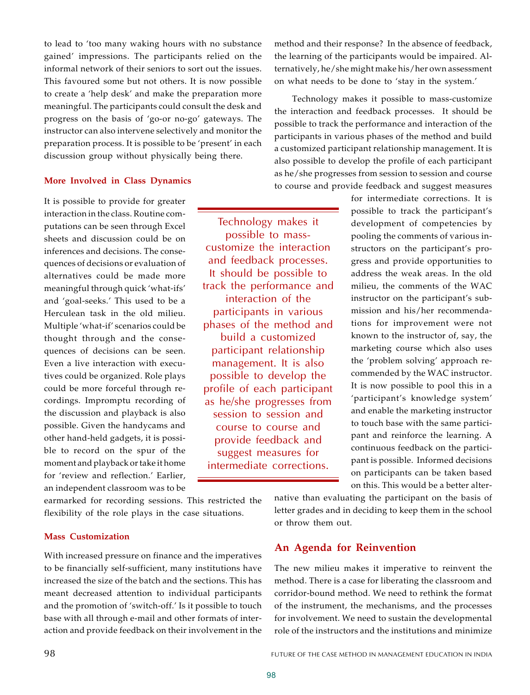to lead to 'too many waking hours with no substance gained' impressions. The participants relied on the informal network of their seniors to sort out the issues. This favoured some but not others. It is now possible to create a 'help desk' and make the preparation more meaningful. The participants could consult the desk and progress on the basis of 'go-or no-go' gateways. The instructor can also intervene selectively and monitor the preparation process. It is possible to be 'present' in each discussion group without physically being there.

### **More Involved in Class Dynamics**

It is possible to provide for greater interaction in the class. Routine computations can be seen through Excel sheets and discussion could be on inferences and decisions. The consequences of decisions or evaluation of alternatives could be made more meaningful through quick 'what-ifs' and 'goal-seeks.' This used to be a Herculean task in the old milieu. Multiple 'what-if' scenarios could be thought through and the consequences of decisions can be seen. Even a live interaction with executives could be organized. Role plays could be more forceful through recordings. Impromptu recording of the discussion and playback is also possible. Given the handycams and other hand-held gadgets, it is possible to record on the spur of the moment and playback or take it home for 'review and reflection.' Earlier, an independent classroom was to be

earmarked for recording sessions. This restricted the flexibility of the role plays in the case situations.

### **Mass Customization**

With increased pressure on finance and the imperatives to be financially self-sufficient, many institutions have increased the size of the batch and the sections. This has meant decreased attention to individual participants and the promotion of 'switch-off.' Is it possible to touch base with all through e-mail and other formats of interaction and provide feedback on their involvement in the method and their response? In the absence of feedback, the learning of the participants would be impaired. Alternatively, he/she might make his/her own assessment on what needs to be done to 'stay in the system.'

Technology makes it possible to mass-customize the interaction and feedback processes. It should be possible to track the performance and interaction of the participants in various phases of the method and build a customized participant relationship management. It is also possible to develop the profile of each participant as he/she progresses from session to session and course to course and provide feedback and suggest measures

> for intermediate corrections. It is possible to track the participant's development of competencies by pooling the comments of various instructors on the participant's progress and provide opportunities to address the weak areas. In the old milieu, the comments of the WAC instructor on the participant's submission and his/her recommendations for improvement were not known to the instructor of, say, the marketing course which also uses the 'problem solving' approach recommended by the WAC instructor. It is now possible to pool this in a 'participant's knowledge system' and enable the marketing instructor to touch base with the same participant and reinforce the learning. A continuous feedback on the participant is possible. Informed decisions on participants can be taken based on this. This would be a better alter-

native than evaluating the participant on the basis of letter grades and in deciding to keep them in the school or throw them out.

### **An Agenda for Reinvention**

The new milieu makes it imperative to reinvent the method. There is a case for liberating the classroom and corridor-bound method. We need to rethink the format of the instrument, the mechanisms, and the processes for involvement. We need to sustain the developmental role of the instructors and the institutions and minimize

Technology makes it possible to masscustomize the interaction and feedback processes. It should be possible to track the performance and interaction of the participants in various phases of the method and build a customized participant relationship management. It is also possible to develop the profile of each participant as he/she progresses from session to session and course to course and provide feedback and suggest measures for intermediate corrections.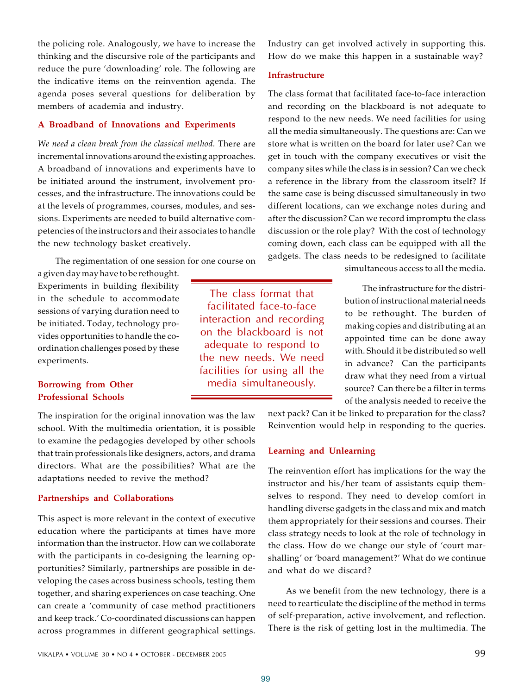the policing role. Analogously, we have to increase the thinking and the discursive role of the participants and reduce the pure 'downloading' role. The following are the indicative items on the reinvention agenda. The agenda poses several questions for deliberation by members of academia and industry.

### **A Broadband of Innovations and Experiments**

*We need a clean break from the classical method.* There are incremental innovations around the existing approaches. A broadband of innovations and experiments have to be initiated around the instrument, involvement processes, and the infrastructure. The innovations could be at the levels of programmes, courses, modules, and sessions. Experiments are needed to build alternative competencies of the instructors and their associates to handle the new technology basket creatively.

The regimentation of one session for one course on

a given day may have to be rethought. Experiments in building flexibility in the schedule to accommodate sessions of varying duration need to be initiated. Today, technology provides opportunities to handle the coordination challenges posed by these experiments.

## **Borrowing from Other Professional Schools**

The inspiration for the original innovation was the law school. With the multimedia orientation, it is possible to examine the pedagogies developed by other schools that train professionals like designers, actors, and drama directors. What are the possibilities? What are the adaptations needed to revive the method?

#### **Partnerships and Collaborations**

This aspect is more relevant in the context of executive education where the participants at times have more information than the instructor. How can we collaborate with the participants in co-designing the learning opportunities? Similarly, partnerships are possible in developing the cases across business schools, testing them together, and sharing experiences on case teaching. One can create a 'community of case method practitioners and keep track.' Co-coordinated discussions can happen across programmes in different geographical settings.

Industry can get involved actively in supporting this. How do we make this happen in a sustainable way?

### **Infrastructure**

The class format that facilitated face-to-face interaction and recording on the blackboard is not adequate to respond to the new needs. We need facilities for using all the media simultaneously.

The class format that facilitated face-to-face interaction and recording on the blackboard is not adequate to respond to the new needs. We need facilities for using all the media simultaneously. The questions are: Can we store what is written on the board for later use? Can we get in touch with the company executives or visit the company sites while the class is in session? Can we check a reference in the library from the classroom itself? If the same case is being discussed simultaneously in two different locations, can we exchange notes during and after the discussion? Can we record impromptu the class discussion or the role play? With the cost of technology coming down, each class can be equipped with all the gadgets. The class needs to be redesigned to facilitate

simultaneous access to all the media.

The infrastructure for the distribution of instructional material needs to be rethought. The burden of making copies and distributing at an appointed time can be done away with. Should it be distributed so well in advance? Can the participants draw what they need from a virtual source? Can there be a filter in terms of the analysis needed to receive the

next pack? Can it be linked to preparation for the class? Reinvention would help in responding to the queries.

### **Learning and Unlearning**

The reinvention effort has implications for the way the instructor and his/her team of assistants equip themselves to respond. They need to develop comfort in handling diverse gadgets in the class and mix and match them appropriately for their sessions and courses. Their class strategy needs to look at the role of technology in the class. How do we change our style of 'court marshalling' or 'board management?' What do we continue and what do we discard?

As we benefit from the new technology, there is a need to rearticulate the discipline of the method in terms of self-preparation, active involvement, and reflection. There is the risk of getting lost in the multimedia. The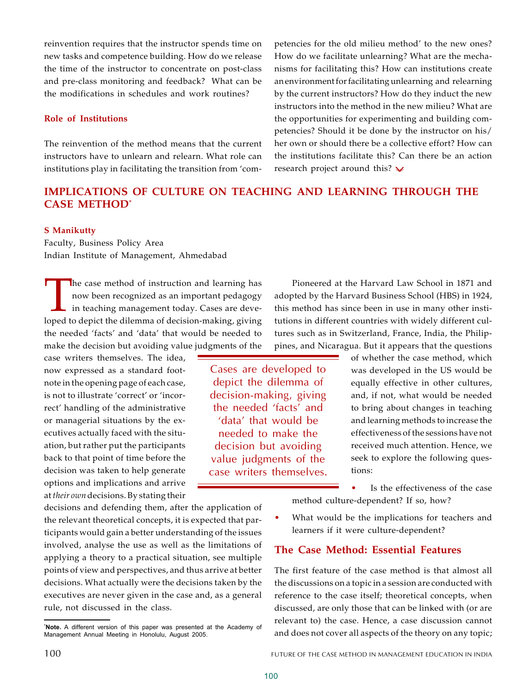reinvention requires that the instructor spends time on new tasks and competence building. How do we release the time of the instructor to concentrate on post-class and pre-class monitoring and feedback? What can be the modifications in schedules and work routines?

### **Role of Institutions**

The reinvention of the method means that the current instructors have to unlearn and relearn. What role can institutions play in facilitating the transition from 'competencies for the old milieu method' to the new ones? How do we facilitate unlearning? What are the mechanisms for facilitating this? How can institutions create an environment for facilitating unlearning and relearning by the current instructors? How do they induct the new instructors into the method in the new milieu? What are the opportunities for experimenting and building competencies? Should it be done by the instructor on his/ her own or should there be a collective effort? How can the institutions facilitate this? Can there be an action research project around this?  $\vee$ 

# **IMPLICATIONS OF CULTURE ON TEACHING AND LEARNING THROUGH THE CASE METHOD\***

Cases are developed to depict the dilemma of decision-making, giving the needed 'facts' and 'data' that would be needed to make the decision but avoiding value judgments of the case writers themselves.

### **S Manikutty**

Faculty, Business Policy Area Indian Institute of Management, Ahmedabad

The case method of instruction and learning has<br>now been recognized as an important pedagogy<br>in teaching management today. Cases are deve-<br>loped to depict the dilemma of decision-making, giving he case method of instruction and learning has now been recognized as an important pedagogy in teaching management today. Cases are devethe needed 'facts' and 'data' that would be needed to make the decision but avoiding value judgments of the

case writers themselves. The idea, now expressed as a standard footnote in the opening page of each case, is not to illustrate 'correct' or 'incorrect' handling of the administrative or managerial situations by the executives actually faced with the situation, but rather put the participants back to that point of time before the decision was taken to help generate options and implications and arrive at *their own* decisions. By stating their

decisions and defending them, after the application of the relevant theoretical concepts, it is expected that participants would gain a better understanding of the issues involved, analyse the use as well as the limitations of applying a theory to a practical situation, see multiple points of view and perspectives, and thus arrive at better decisions. What actually were the decisions taken by the executives are never given in the case and, as a general rule, not discussed in the class.

Pioneered at the Harvard Law School in 1871 and adopted by the Harvard Business School (HBS) in 1924, this method has since been in use in many other institutions in different countries with widely different cultures such as in Switzerland, France, India, the Philippines, and Nicaragua. But it appears that the questions

> of whether the case method, which was developed in the US would be equally effective in other cultures, and, if not, what would be needed to bring about changes in teaching and learning methods to increase the effectiveness of the sessions have not received much attention. Hence, we seek to explore the following questions:

- Is the effectiveness of the case method culture-dependent? If so, how?
- What would be the implications for teachers and learners if it were culture-dependent?

# **The Case Method: Essential Features**

The first feature of the case method is that almost all the discussions on a topic in a session are conducted with reference to the case itself; theoretical concepts, when discussed, are only those that can be linked with (or are relevant to) the case. Hence, a case discussion cannot and does not cover all aspects of the theory on any topic;

**<sup>\*</sup>Note.** A different version of this paper was presented at the Academy of Management Annual Meeting in Honolulu, August 2005.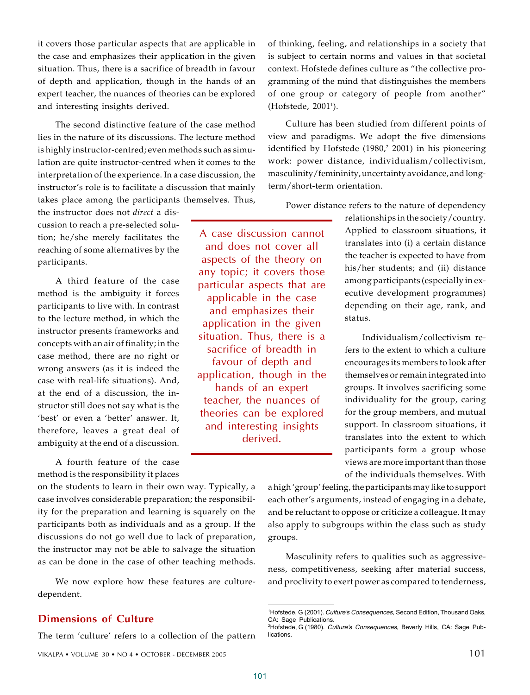it covers those particular aspects that are applicable in the case and emphasizes their application in the given situation. Thus, there is a sacrifice of breadth in favour of depth and application, though in the hands of an expert teacher, the nuances of theories can be explored and interesting insights derived.

The second distinctive feature of the case method lies in the nature of its discussions. The lecture method is highly instructor-centred; even methods such as simulation are quite instructor-centred when it comes to the interpretation of the experience. In a case discussion, the instructor's role is to facilitate a discussion that mainly takes place among the participants themselves. Thus,

the instructor does not *direct* a discussion to reach a pre-selected solution; he/she merely facilitates the reaching of some alternatives by the participants.

A third feature of the case method is the ambiguity it forces participants to live with. In contrast to the lecture method, in which the instructor presents frameworks and concepts with an air of finality; in the case method, there are no right or wrong answers (as it is indeed the case with real-life situations). And, at the end of a discussion, the instructor still does not say what is the 'best' or even a 'better' answer. It, therefore, leaves a great deal of ambiguity at the end of a discussion.

A fourth feature of the case method is the responsibility it places

on the students to learn in their own way. Typically, a case involves considerable preparation; the responsibility for the preparation and learning is squarely on the participants both as individuals and as a group. If the discussions do not go well due to lack of preparation, the instructor may not be able to salvage the situation as can be done in the case of other teaching methods.

We now explore how these features are culturedependent.

# **Dimensions of Culture**

The term 'culture' refers to a collection of the pattern

of thinking, feeling, and relationships in a society that is subject to certain norms and values in that societal context. Hofstede defines culture as "the collective programming of the mind that distinguishes the members of one group or category of people from another" (Hofstede, 2001<sup>1</sup> ).

Culture has been studied from different points of view and paradigms. We adopt the five dimensions identified by Hofstede (1980,<sup>2</sup> 2001) in his pioneering work: power distance, individualism/collectivism, masculinity/femininity, uncertainty avoidance, and longterm/short-term orientation.

Power distance refers to the nature of dependency

A case discussion cannot and does not cover all aspects of the theory on any topic; it covers those particular aspects that are applicable in the case and emphasizes their application in the given situation. Thus, there is a sacrifice of breadth in favour of depth and application, though in the hands of an expert teacher, the nuances of theories can be explored and interesting insights derived.

relationships in the society/country. Applied to classroom situations, it translates into (i) a certain distance the teacher is expected to have from his/her students; and (ii) distance among participants (especially in executive development programmes) depending on their age, rank, and status.

Individualism/collectivism refers to the extent to which a culture encourages its members to look after themselves or remain integrated into groups. It involves sacrificing some individuality for the group, caring for the group members, and mutual support. In classroom situations, it translates into the extent to which participants form a group whose views are more important than those of the individuals themselves. With

a high 'group' feeling, the participants may like to support each other's arguments, instead of engaging in a debate, and be reluctant to oppose or criticize a colleague. It may also apply to subgroups within the class such as study groups.

Masculinity refers to qualities such as aggressiveness, competitiveness, seeking after material success, and proclivity to exert power as compared to tenderness,

<sup>1</sup>Hofstede, G (2001). Culture's Consequences, Second Edition, Thousand Oaks, CA: Sage Publications.

<sup>2</sup>Hofstede, G (1980). Culture's Consequences, Beverly Hills, CA: Sage Publications.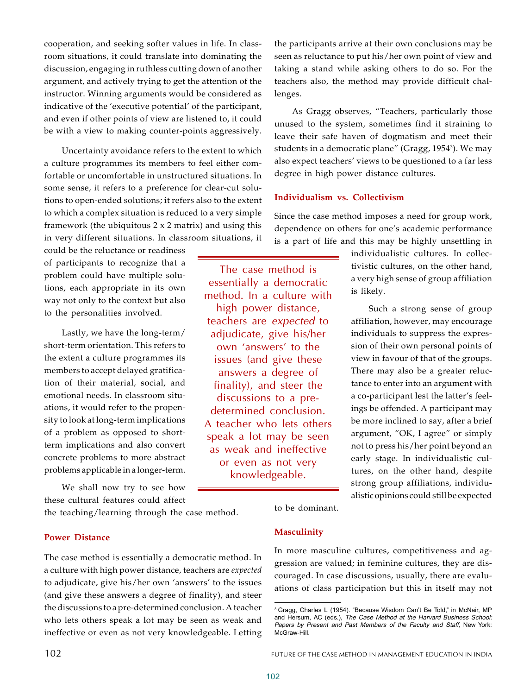cooperation, and seeking softer values in life. In classroom situations, it could translate into dominating the discussion, engaging in ruthless cutting down of another argument, and actively trying to get the attention of the instructor. Winning arguments would be considered as indicative of the 'executive potential' of the participant, and even if other points of view are listened to, it could be with a view to making counter-points aggressively.

Uncertainty avoidance refers to the extent to which a culture programmes its members to feel either comfortable or uncomfortable in unstructured situations. In some sense, it refers to a preference for clear-cut solutions to open-ended solutions; it refers also to the extent to which a complex situation is reduced to a very simple framework (the ubiquitous  $2 \times 2$  matrix) and using this in very different situations. In classroom situations, it

could be the reluctance or readiness of participants to recognize that a problem could have multiple solutions, each appropriate in its own way not only to the context but also to the personalities involved.

Lastly, we have the long-term/ short-term orientation. This refers to the extent a culture programmes its members to accept delayed gratification of their material, social, and emotional needs. In classroom situations, it would refer to the propensity to look at long-term implications of a problem as opposed to shortterm implications and also convert concrete problems to more abstract problems applicable in a longer-term.

We shall now try to see how these cultural features could affect

the teaching/learning through the case method.

**Power Distance**

The case method is essentially a democratic method. In a culture with high power distance, teachers are *expected* to adjudicate, give his/her own 'answers' to the issues (and give these answers a degree of finality), and steer the discussions to a pre-determined conclusion. A teacher who lets others speak a lot may be seen as weak and ineffective or even as not very knowledgeable. Letting

the participants arrive at their own conclusions may be seen as reluctance to put his/her own point of view and taking a stand while asking others to do so. For the teachers also, the method may provide difficult challenges.

As Gragg observes, "Teachers, particularly those unused to the system, sometimes find it straining to leave their safe haven of dogmatism and meet their students in a democratic plane'' (Gragg, 1954<sup>3</sup>). We may also expect teachers' views to be questioned to a far less degree in high power distance cultures.

### **Individualism vs. Collectivism**

Since the case method imposes a need for group work, dependence on others for one's academic performance is a part of life and this may be highly unsettling in

> individualistic cultures. In collectivistic cultures, on the other hand, a very high sense of group affiliation is likely.

Such a strong sense of group affiliation, however, may encourage individuals to suppress the expression of their own personal points of view in favour of that of the groups. There may also be a greater reluctance to enter into an argument with a co-participant lest the latter's feelings be offended. A participant may be more inclined to say, after a brief argument, "OK, I agree" or simply not to press his/her point beyond an early stage. In individualistic cultures, on the other hand, despite strong group affiliations, individualistic opinions could still be expected

to be dominant.

# **Masculinity**

The case method is essentially a democratic method. In a culture with high power distance, teachers are *expected* to adjudicate, give his/her own 'answers' to the issues (and give these answers a degree of finality), and steer the discussions to a predetermined conclusion. A teacher who lets others speak a lot may be seen as weak and ineffective or even as not very knowledgeable.

> In more masculine cultures, competitiveness and aggression are valued; in feminine cultures, they are discouraged. In case discussions, usually, there are evaluations of class participation but this in itself may not

<sup>&</sup>lt;sup>3</sup> Gragg, Charles L (1954). "Because Wisdom Can't Be Told," in McNair, MP and Hersum, AC (eds.), The Case Method at the Harvard Business School: Papers by Present and Past Members of the Faculty and Staff, New York: McGraw-Hill.

<sup>102</sup> FUTURE OF THE CASE METHOD IN MANAGEMENT EDUCATION IN INDIA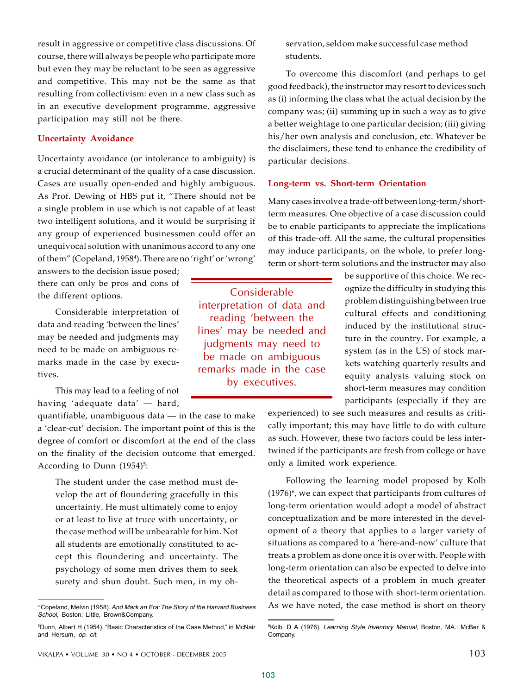result in aggressive or competitive class discussions. Of course, there will always be people who participate more but even they may be reluctant to be seen as aggressive and competitive. This may not be the same as that resulting from collectivism: even in a new class such as in an executive development programme, aggressive participation may still not be there.

### **Uncertainty Avoidance**

Uncertainty avoidance (or intolerance to ambiguity) is a crucial determinant of the quality of a case discussion. Cases are usually open-ended and highly ambiguous. As Prof. Dewing of HBS put it, "There should not be a single problem in use which is not capable of at least two intelligent solutions, and it would be surprising if any group of experienced businessmen could offer an unequivocal solution with unanimous accord to any one of them" (Copeland, 1958<sup>4</sup> ). There are no 'right' or 'wrong'

answers to the decision issue posed; there can only be pros and cons of the different options.

Considerable interpretation of data and reading 'between the lines' may be needed and judgments may need to be made on ambiguous remarks made in the case by executives.

This may lead to a feeling of not having 'adequate data' — hard,

quantifiable, unambiguous data  $-$  in the case to make a 'clear-cut' decision. The important point of this is the degree of comfort or discomfort at the end of the class on the finality of the decision outcome that emerged. According to Dunn (1954)<sup>5</sup>:

The student under the case method must develop the art of floundering gracefully in this uncertainty. He must ultimately come to enjoy or at least to live at truce with uncertainty, or the case method will be unbearable for him. Not all students are emotionally constituted to accept this floundering and uncertainty. The psychology of some men drives them to seek surety and shun doubt. Such men, in my ob-

servation, seldom make successful case method students.

To overcome this discomfort (and perhaps to get good feedback), the instructor may resort to devices such as (i) informing the class what the actual decision by the company was; (ii) summing up in such a way as to give a better weightage to one particular decision; (iii) giving his/her own analysis and conclusion, etc. Whatever be the disclaimers, these tend to enhance the credibility of particular decisions.

### **Long-term vs. Short-term Orientation**

Many cases involve a trade-off between long-term/shortterm measures. One objective of a case discussion could be to enable participants to appreciate the implications of this trade-off. All the same, the cultural propensities may induce participants, on the whole, to prefer longterm or short-term solutions and the instructor may also

> be supportive of this choice. We recognize the difficulty in studying this problem distinguishing between true cultural effects and conditioning induced by the institutional structure in the country. For example, a system (as in the US) of stock markets watching quarterly results and equity analysts valuing stock on short-term measures may condition participants (especially if they are

experienced) to see such measures and results as critically important; this may have little to do with culture as such. However, these two factors could be less intertwined if the participants are fresh from college or have only a limited work experience.

Following the learning model proposed by Kolb (1976) $^{\rm 6}$ , we can expect that participants from cultures of long-term orientation would adopt a model of abstract conceptualization and be more interested in the development of a theory that applies to a larger variety of situations as compared to a 'here-and-now' culture that treats a problem as done once it is over with. People with long-term orientation can also be expected to delve into the theoretical aspects of a problem in much greater detail as compared to those with short-term orientation. As we have noted, the case method is short on theory

103

Considerable interpretation of data and reading 'between the lines' may be needed and judgments may need to be made on ambiguous remarks made in the case by executives.

<sup>4</sup>Copeland, Melvin (1958). And Mark an Era: The Story of the Harvard Business School, Boston: Little, Brown&Company.

<sup>5</sup>Dunn, Albert H (1954). "Basic Characteristics of the Case Method," in McNair and Hersum, op. cit.

<sup>&</sup>lt;sup>6</sup>Kolb, D A (1976). Learning Style Inventory Manual, Boston, MA.: McBer & Company.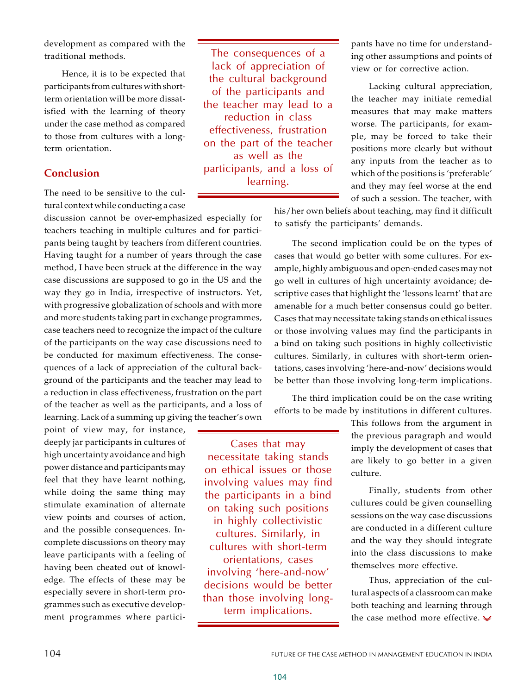development as compared with the traditional methods.

Hence, it is to be expected that participants from cultures with shortterm orientation will be more dissatisfied with the learning of theory under the case method as compared to those from cultures with a longterm orientation.

# **Conclusion**

The need to be sensitive to the cultural context while conducting a case

discussion cannot be over-emphasized especially for teachers teaching in multiple cultures and for participants being taught by teachers from different countries. Having taught for a number of years through the case method, I have been struck at the difference in the way case discussions are supposed to go in the US and the way they go in India, irrespective of instructors. Yet, with progressive globalization of schools and with more and more students taking part in exchange programmes, case teachers need to recognize the impact of the culture of the participants on the way case discussions need to be conducted for maximum effectiveness. The consequences of a lack of appreciation of the cultural background of the participants and the teacher may lead to a reduction in class effectiveness, frustration on the part of the teacher as well as the participants, and a loss of learning. Lack of a summing up giving the teacher's own

point of view may, for instance, deeply jar participants in cultures of high uncertainty avoidance and high power distance and participants may feel that they have learnt nothing, while doing the same thing may stimulate examination of alternate view points and courses of action, and the possible consequences. Incomplete discussions on theory may leave participants with a feeling of having been cheated out of knowledge. The effects of these may be especially severe in short-term programmes such as executive development programmes where partici-

The consequences of a lack of appreciation of the cultural background of the participants and the teacher may lead to a reduction in class effectiveness, frustration on the part of the teacher as well as the participants, and a loss of learning.

pants have no time for understanding other assumptions and points of view or for corrective action.

Lacking cultural appreciation, the teacher may initiate remedial measures that may make matters worse. The participants, for example, may be forced to take their positions more clearly but without any inputs from the teacher as to which of the positions is 'preferable' and they may feel worse at the end of such a session. The teacher, with

his/her own beliefs about teaching, may find it difficult to satisfy the participants' demands.

The second implication could be on the types of cases that would go better with some cultures. For example, highly ambiguous and open-ended cases may not go well in cultures of high uncertainty avoidance; descriptive cases that highlight the 'lessons learnt' that are amenable for a much better consensus could go better. Cases that may necessitate taking stands on ethical issues or those involving values may find the participants in a bind on taking such positions in highly collectivistic cultures. Similarly, in cultures with short-term orientations, cases involving 'here-and-now' decisions would be better than those involving long-term implications.

The third implication could be on the case writing efforts to be made by institutions in different cultures.

Cases that may necessitate taking stands on ethical issues or those involving values may find the participants in a bind on taking such positions in highly collectivistic cultures. Similarly, in cultures with short-term orientations, cases involving 'here-and-now' decisions would be better than those involving longterm implications.

This follows from the argument in the previous paragraph and would imply the development of cases that are likely to go better in a given culture.

Finally, students from other cultures could be given counselling sessions on the way case discussions are conducted in a different culture and the way they should integrate into the class discussions to make themselves more effective.

Thus, appreciation of the cultural aspects of a classroom can make both teaching and learning through the case method more effective.  $\vee$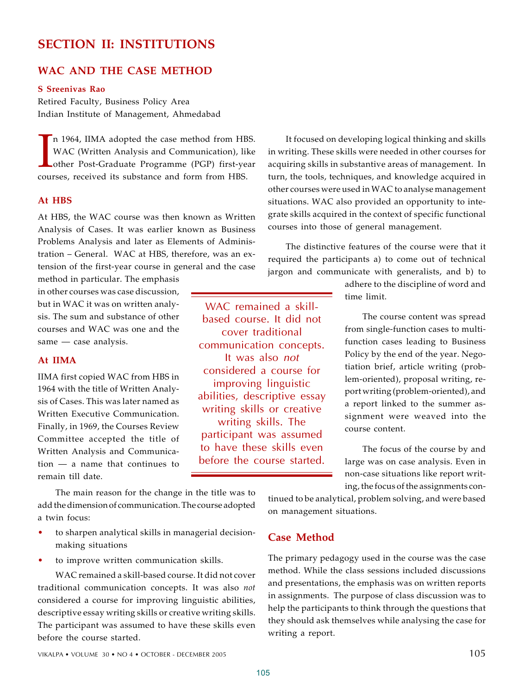# **SECTION II: INSTITUTIONS**

# **WAC AND THE CASE METHOD**

### **S Sreenivas Rao**

Retired Faculty, Business Policy Area Indian Institute of Management, Ahmedabad

Im 1964, IIMA adopted the case method from HB WAC (Written Analysis and Communication), lil other Post-Graduate Programme (PGP) first-ye courses, received its substance and form from HBS. n 1964, IIMA adopted the case method from HBS. WAC (Written Analysis and Communication), like other Post-Graduate Programme (PGP) first-year

# **At HBS**

At HBS, the WAC course was then known as Written Analysis of Cases. It was earlier known as Business Problems Analysis and later as Elements of Administration – General. WAC at HBS, therefore, was an extension of the first-year course in general and the case

method in particular. The emphasis in other courses was case discussion, but in WAC it was on written analysis. The sum and substance of other courses and WAC was one and the same — case analysis.

### **At IIMA**

IIMA first copied WAC from HBS in 1964 with the title of Written Analysis of Cases. This was later named as Written Executive Communication. Finally, in 1969, the Courses Review Committee accepted the title of Written Analysis and Communication — a name that continues to remain till date.

based course. It did not cover traditional communication concepts. It was also *not* considered a course for improving linguistic abilities, descriptive essay writing skills or creative writing skills. The participant was assumed to have these skills even before the course started.

WAC remained a skill-

It focused on developing logical thinking and skills in writing. These skills were needed in other courses for acquiring skills in substantive areas of management. In turn, the tools, techniques, and knowledge acquired in other courses were used in WAC to analyse management situations. WAC also provided an opportunity to integrate skills acquired in the context of specific functional courses into those of general management.

The distinctive features of the course were that it required the participants a) to come out of technical jargon and communicate with generalists, and b) to

> adhere to the discipline of word and time limit.

> The course content was spread from single-function cases to multifunction cases leading to Business Policy by the end of the year. Negotiation brief, article writing (problem-oriented), proposal writing, report writing (problem-oriented), and a report linked to the summer assignment were weaved into the course content.

> The focus of the course by and large was on case analysis. Even in non-case situations like report writing, the focus of the assignments con-

The main reason for the change in the title was to add the dimension of communication. The course adopted a twin focus:

- to sharpen analytical skills in managerial decisionmaking situations
- to improve written communication skills.

WAC remained a skill-based course. It did not cover traditional communication concepts. It was also *not* considered a course for improving linguistic abilities, descriptive essay writing skills or creative writing skills. The participant was assumed to have these skills even before the course started.

**Case Method**

on management situations.

The primary pedagogy used in the course was the case method. While the class sessions included discussions and presentations, the emphasis was on written reports in assignments. The purpose of class discussion was to help the participants to think through the questions that they should ask themselves while analysing the case for writing a report.

tinued to be analytical, problem solving, and were based

VIKALPA • VOLUME  $30 \cdot N$ O 4 • OCTOBER - DECEMBER 2005 105 in the state of  $105$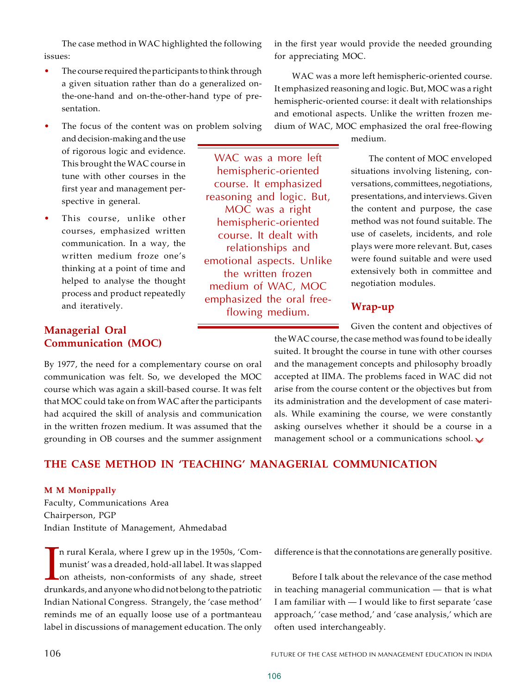The case method in WAC highlighted the following issues:

- The course required the participants to think through a given situation rather than do a generalized onthe-one-hand and on-the-other-hand type of presentation.
- The focus of the content was on problem solving

and decision-making and the use of rigorous logic and evidence. This brought the WAC course in tune with other courses in the first year and management perspective in general.

This course, unlike other courses, emphasized written communication. In a way, the written medium froze one's thinking at a point of time and helped to analyse the thought process and product repeatedly and iteratively.

# **Managerial Oral Communication (MOC)**

By 1977, the need for a complementary course on oral communication was felt. So, we developed the MOC course which was again a skill-based course. It was felt that MOC could take on from WAC after the participants had acquired the skill of analysis and communication in the written frozen medium. It was assumed that the grounding in OB courses and the summer assignment

WAC was a more left hemispheric-oriented course. It emphasized reasoning and logic. But, MOC was a right hemispheric-oriented course. It dealt with relationships and emotional aspects. Unlike the written frozen medium of WAC, MOC emphasized the oral freeflowing medium.

in the first year would provide the needed grounding for appreciating MOC.

WAC was a more left hemispheric-oriented course. It emphasized reasoning and logic. But, MOC was a right hemispheric-oriented course: it dealt with relationships and emotional aspects. Unlike the written frozen medium of WAC, MOC emphasized the oral free-flowing

medium.

The content of MOC enveloped situations involving listening, conversations, committees, negotiations, presentations, and interviews. Given the content and purpose, the case method was not found suitable. The use of caselets, incidents, and role plays were more relevant. But, cases were found suitable and were used extensively both in committee and negotiation modules.

# **Wrap-up**

Given the content and objectives of the WAC course, the case method was found to be ideally suited. It brought the course in tune with other courses and the management concepts and philosophy broadly accepted at IIMA. The problems faced in WAC did not arise from the course content or the objectives but from its administration and the development of case materials. While examining the course, we were constantly asking ourselves whether it should be a course in a management school or a communications school.  $\sqrt$ 

# **THE CASE METHOD IN 'TEACHING' MANAGERIAL COMMUNICATION**

## **M M Monippally**

Faculty, Communications Area Chairperson, PGP Indian Institute of Management, Ahmedabad

In rural Kerala, where I grew up in the 1950s, 'Communist' was a dreaded, hold-all label. It was slapped<br>on atheists, non-conformists of any shade, street<br>drunkards, and anyone who did not belong to the patriotic n rural Kerala, where I grew up in the 1950s, 'Communist' was a dreaded, hold-all label. It was slapped on atheists, non-conformists of any shade, street Indian National Congress. Strangely, the 'case method' reminds me of an equally loose use of a portmanteau label in discussions of management education. The only

difference is that the connotations are generally positive.

Before I talk about the relevance of the case method in teaching managerial communication — that is what I am familiar with — I would like to first separate 'case approach,' 'case method,' and 'case analysis,' which are often used interchangeably.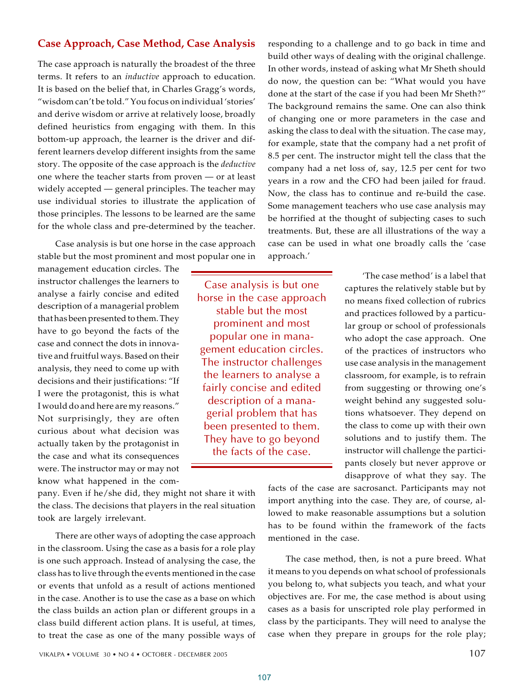# for the whole class and pre-determined by the teacher.

Case analysis is but one horse in the case approach stable but the most prominent and most popular one in

**Case Approach, Case Method, Case Analysis**

The case approach is naturally the broadest of the three terms. It refers to an *inductive* approach to education. It is based on the belief that, in Charles Gragg's words, "wisdom can't be told." You focus on individual 'stories' and derive wisdom or arrive at relatively loose, broadly defined heuristics from engaging with them. In this bottom-up approach, the learner is the driver and different learners develop different insights from the same story. The opposite of the case approach is the *deductive* one where the teacher starts from proven — or at least widely accepted — general principles. The teacher may use individual stories to illustrate the application of those principles. The lessons to be learned are the same

management education circles. The instructor challenges the learners to analyse a fairly concise and edited description of a managerial problem that has been presented to them. They have to go beyond the facts of the case and connect the dots in innovative and fruitful ways. Based on their analysis, they need to come up with decisions and their justifications: "If I were the protagonist, this is what I would do and here are my reasons." Not surprisingly, they are often curious about what decision was actually taken by the protagonist in the case and what its consequences were. The instructor may or may not know what happened in the com-

Case analysis is but one horse in the case approach stable but the most prominent and most popular one in management education circles. The instructor challenges the learners to analyse a fairly concise and edited description of a managerial problem that has been presented to them. They have to go beyond the facts of the case.

pany. Even if he/she did, they might not share it with the class. The decisions that players in the real situation took are largely irrelevant.

There are other ways of adopting the case approach in the classroom. Using the case as a basis for a role play is one such approach. Instead of analysing the case, the class has to live through the events mentioned in the case or events that unfold as a result of actions mentioned in the case. Another is to use the case as a base on which the class builds an action plan or different groups in a class build different action plans. It is useful, at times, to treat the case as one of the many possible ways of responding to a challenge and to go back in time and build other ways of dealing with the original challenge. In other words, instead of asking what Mr Sheth should do now, the question can be: "What would you have done at the start of the case if you had been Mr Sheth?" The background remains the same. One can also think of changing one or more parameters in the case and asking the class to deal with the situation. The case may, for example, state that the company had a net profit of 8.5 per cent. The instructor might tell the class that the company had a net loss of, say, 12.5 per cent for two years in a row and the CFO had been jailed for fraud. Now, the class has to continue and re-build the case. Some management teachers who use case analysis may be horrified at the thought of subjecting cases to such treatments. But, these are all illustrations of the way a case can be used in what one broadly calls the 'case approach.'

> 'The case method' is a label that captures the relatively stable but by no means fixed collection of rubrics and practices followed by a particular group or school of professionals who adopt the case approach. One of the practices of instructors who use case analysis in the management classroom, for example, is to refrain from suggesting or throwing one's weight behind any suggested solutions whatsoever. They depend on the class to come up with their own solutions and to justify them. The instructor will challenge the participants closely but never approve or disapprove of what they say. The

facts of the case are sacrosanct. Participants may not import anything into the case. They are, of course, allowed to make reasonable assumptions but a solution has to be found within the framework of the facts mentioned in the case.

The case method, then, is not a pure breed. What it means to you depends on what school of professionals you belong to, what subjects you teach, and what your objectives are. For me, the case method is about using cases as a basis for unscripted role play performed in class by the participants. They will need to analyse the case when they prepare in groups for the role play;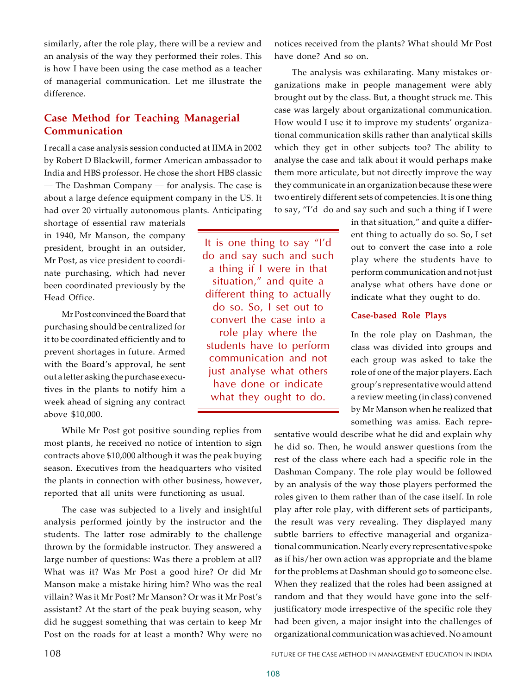similarly, after the role play, there will be a review and an analysis of the way they performed their roles. This is how I have been using the case method as a teacher of managerial communication. Let me illustrate the difference.

# **Case Method for Teaching Managerial Communication**

I recall a case analysis session conducted at IIMA in 2002 by Robert D Blackwill, former American ambassador to India and HBS professor. He chose the short HBS classic — The Dashman Company — for analysis. The case is about a large defence equipment company in the US. It had over 20 virtually autonomous plants. Anticipating

shortage of essential raw materials in 1940, Mr Manson, the company president, brought in an outsider, Mr Post, as vice president to coordinate purchasing, which had never been coordinated previously by the Head Office.

Mr Post convinced the Board that purchasing should be centralized for it to be coordinated efficiently and to prevent shortages in future. Armed with the Board's approval, he sent out a letter asking the purchase executives in the plants to notify him a week ahead of signing any contract above \$10,000.

While Mr Post got positive sounding replies from most plants, he received no notice of intention to sign contracts above \$10,000 although it was the peak buying season. Executives from the headquarters who visited the plants in connection with other business, however, reported that all units were functioning as usual.

The case was subjected to a lively and insightful analysis performed jointly by the instructor and the students. The latter rose admirably to the challenge thrown by the formidable instructor. They answered a large number of questions: Was there a problem at all? What was it? Was Mr Post a good hire? Or did Mr Manson make a mistake hiring him? Who was the real villain? Was it Mr Post? Mr Manson? Or was it Mr Post's assistant? At the start of the peak buying season, why did he suggest something that was certain to keep Mr Post on the roads for at least a month? Why were no

It is one thing to say "I'd do and say such and such a thing if I were in that situation," and quite a different thing to actually do so. So, I set out to convert the case into a

role play where the students have to perform communication and not just analyse what others have done or indicate what they ought to do.

notices received from the plants? What should Mr Post have done? And so on.

The analysis was exhilarating. Many mistakes organizations make in people management were ably brought out by the class. But, a thought struck me. This case was largely about organizational communication. How would I use it to improve my students' organizational communication skills rather than analytical skills which they get in other subjects too? The ability to analyse the case and talk about it would perhaps make them more articulate, but not directly improve the way they communicate in an organization because these were two entirely different sets of competencies. It is one thing to say, "I'd do and say such and such a thing if I were

> in that situation," and quite a different thing to actually do so. So, I set out to convert the case into a role play where the students have to perform communication and not just analyse what others have done or indicate what they ought to do.

### **Case-based Role Plays**

In the role play on Dashman, the class was divided into groups and each group was asked to take the role of one of the major players. Each group's representative would attend a review meeting (in class) convened by Mr Manson when he realized that something was amiss. Each repre-

sentative would describe what he did and explain why he did so. Then, he would answer questions from the rest of the class where each had a specific role in the Dashman Company. The role play would be followed by an analysis of the way those players performed the roles given to them rather than of the case itself. In role play after role play, with different sets of participants, the result was very revealing. They displayed many subtle barriers to effective managerial and organizational communication. Nearly every representative spoke as if his/her own action was appropriate and the blame for the problems at Dashman should go to someone else. When they realized that the roles had been assigned at random and that they would have gone into the selfjustificatory mode irrespective of the specific role they had been given, a major insight into the challenges of organizational communication was achieved. No amount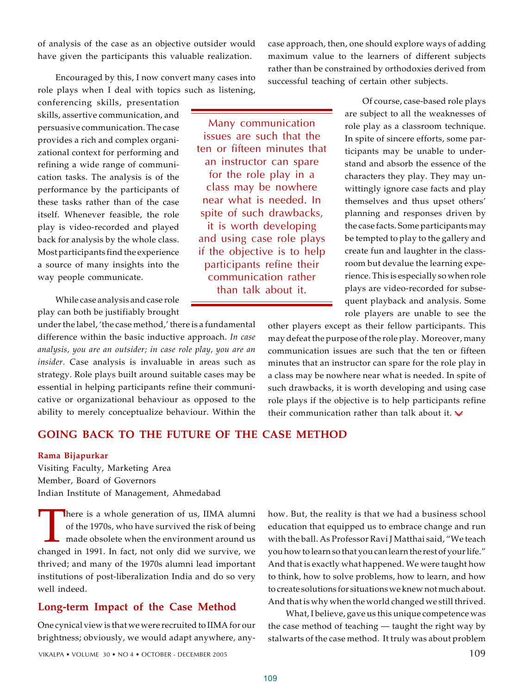of analysis of the case as an objective outsider would have given the participants this valuable realization.

Encouraged by this, I now convert many cases into role plays when I deal with topics such as listening,

conferencing skills, presentation skills, assertive communication, and persuasive communication. The case provides a rich and complex organizational context for performing and refining a wide range of communication tasks. The analysis is of the performance by the participants of these tasks rather than of the case itself. Whenever feasible, the role play is video-recorded and played back for analysis by the whole class. Most participants find the experience a source of many insights into the way people communicate.

While case analysis and case role play can both be justifiably brought

under the label, 'the case method,' there is a fundamental difference within the basic inductive approach. *In case analysis, you are an outsider; in case role play, you are an insider.* Case analysis is invaluable in areas such as strategy. Role plays built around suitable cases may be essential in helping participants refine their communicative or organizational behaviour as opposed to the ability to merely conceptualize behaviour. Within the

# **GOING BACK TO THE FUTURE OF THE CASE METHOD**

### **Rama Bijapurkar**

Visiting Faculty, Marketing Area Member, Board of Governors Indian Institute of Management, Ahmedabad

There is a whole generation of us, IIMA alumni<br>of the 1970s, who have survived the risk of being<br>made obsolete when the environment around us<br>changed in 1991. In fact, not only did we survive, we here is a whole generation of us, IIMA alumni of the 1970s, who have survived the risk of being made obsolete when the environment around us thrived; and many of the 1970s alumni lead important institutions of post-liberalization India and do so very well indeed.

## **Long-term Impact of the Case Method**

One cynical view is that we were recruited to IIMA for our brightness; obviously, we would adapt anywhere, anyhow. But, the reality is that we had a business school education that equipped us to embrace change and run with the ball. As Professor Ravi J Matthai said, "We teach you how to learn so that you can learn the rest of your life." And that is exactly what happened. We were taught how to think, how to solve problems, how to learn, and how to create solutions for situations we knew not much about. And that is why when the world changed we still thrived.

What, I believe, gave us this unique competence was the case method of teaching — taught the right way by stalwarts of the case method. It truly was about problem

Many communication issues are such that the ten or fifteen minutes that an instructor can spare for the role play in a class may be nowhere near what is needed. In spite of such drawbacks, it is worth developing and using case role plays if the objective is to help participants refine their communication rather than talk about it.

case approach, then, one should explore ways of adding maximum value to the learners of different subjects rather than be constrained by orthodoxies derived from successful teaching of certain other subjects.

> Of course, case-based role plays are subject to all the weaknesses of role play as a classroom technique. In spite of sincere efforts, some participants may be unable to understand and absorb the essence of the characters they play. They may unwittingly ignore case facts and play themselves and thus upset others' planning and responses driven by the case facts. Some participants may be tempted to play to the gallery and create fun and laughter in the classroom but devalue the learning experience. This is especially so when role plays are video-recorded for subsequent playback and analysis. Some role players are unable to see the

other players except as their fellow participants. This may defeat the purpose of the role play. Moreover, many communication issues are such that the ten or fifteen minutes that an instructor can spare for the role play in a class may be nowhere near what is needed. In spite of such drawbacks, it is worth developing and using case role plays if the objective is to help participants refine their communication rather than talk about it.  $\vee$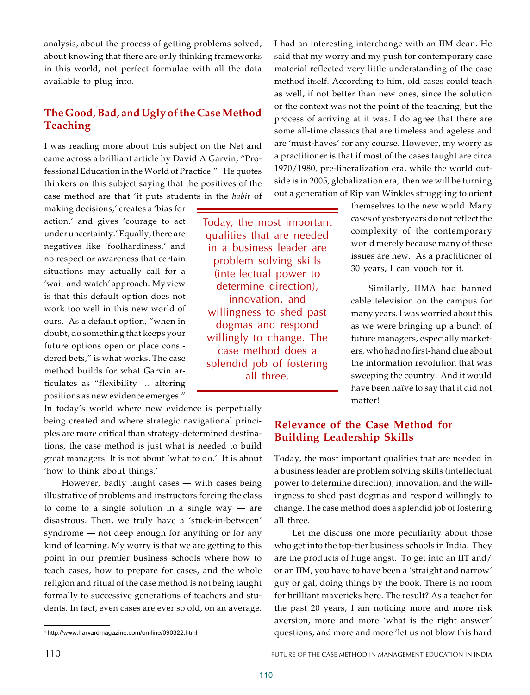analysis, about the process of getting problems solved, about knowing that there are only thinking frameworks in this world, not perfect formulae with all the data available to plug into.

# **The Good, Bad, and Ugly of the Case Method Teaching**

I was reading more about this subject on the Net and came across a brilliant article by David A Garvin, "Professional Education in the World of Practice."<sup>1</sup> He quotes thinkers on this subject saying that the positives of the case method are that 'it puts students in the *habit* of

making decisions,' creates a 'bias for action,' and gives 'courage to act under uncertainty.' Equally, there are negatives like 'foolhardiness,' and no respect or awareness that certain situations may actually call for a 'wait-and-watch' approach. My view is that this default option does not work too well in this new world of ours. As a default option, "when in doubt, do something that keeps your future options open or place considered bets," is what works. The case method builds for what Garvin articulates as "flexibility … altering positions as new evidence emerges."

In today's world where new evidence is perpetually being created and where strategic navigational principles are more critical than strategy-determined destinations, the case method is just what is needed to build great managers. It is not about 'what to do.' It is about 'how to think about things.'

However, badly taught cases — with cases being illustrative of problems and instructors forcing the class to come to a single solution in a single way  $-$  are disastrous. Then, we truly have a 'stuck-in-between' syndrome — not deep enough for anything or for any kind of learning. My worry is that we are getting to this point in our premier business schools where how to teach cases, how to prepare for cases, and the whole religion and ritual of the case method is not being taught formally to successive generations of teachers and students. In fact, even cases are ever so old, on an average.

I had an interesting interchange with an IIM dean. He said that my worry and my push for contemporary case material reflected very little understanding of the case method itself. According to him, old cases could teach as well, if not better than new ones, since the solution or the context was not the point of the teaching, but the process of arriving at it was. I do agree that there are some all-time classics that are timeless and ageless and are 'must-haves' for any course. However, my worry as a practitioner is that if most of the cases taught are circa 1970/1980, pre-liberalization era, while the world outside is in 2005, globalization era, then we will be turning out a generation of Rip van Winkles struggling to orient

Today, the most important qualities that are needed in a business leader are problem solving skills (intellectual power to determine direction), innovation, and willingness to shed past dogmas and respond willingly to change. The case method does a splendid job of fostering all three.

themselves to the new world. Many cases of yesteryears do not reflect the complexity of the contemporary world merely because many of these issues are new. As a practitioner of 30 years, I can vouch for it.

Similarly, IIMA had banned cable television on the campus for many years. I was worried about this as we were bringing up a bunch of future managers, especially marketers, who had no first-hand clue about the information revolution that was sweeping the country. And it would have been naïve to say that it did not matter!

# **Relevance of the Case Method for Building Leadership Skills**

Today, the most important qualities that are needed in a business leader are problem solving skills (intellectual power to determine direction), innovation, and the willingness to shed past dogmas and respond willingly to change. The case method does a splendid job of fostering all three.

Let me discuss one more peculiarity about those who get into the top-tier business schools in India. They are the products of huge angst. To get into an IIT and/ or an IIM, you have to have been a 'straight and narrow' guy or gal, doing things by the book. There is no room for brilliant mavericks here. The result? As a teacher for the past 20 years, I am noticing more and more risk aversion, more and more 'what is the right answer' questions, and more and more 'let us not blow this hard

<sup>1</sup> http://www.harvardmagazine.com/on-line/090322.html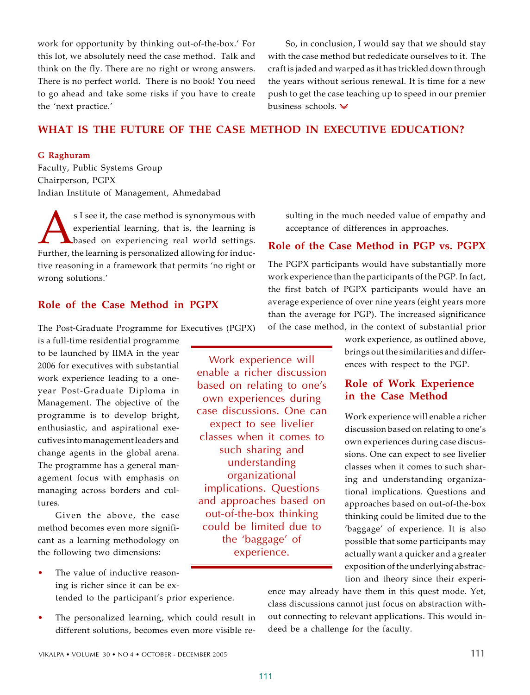work for opportunity by thinking out-of-the-box.' For this lot, we absolutely need the case method. Talk and think on the fly. There are no right or wrong answers. There is no perfect world. There is no book! You need to go ahead and take some risks if you have to create the 'next practice.'

So, in conclusion, I would say that we should stay with the case method but rededicate ourselves to it. The craft is jaded and warped as it has trickled down through the years without serious renewal. It is time for a new push to get the case teaching up to speed in our premier business schools.

# **WHAT IS THE FUTURE OF THE CASE METHOD IN EXECUTIVE EDUCATION?**

Work experience will enable a richer discussion based on relating to one's own experiences during case discussions. One can expect to see livelier classes when it comes to such sharing and understanding organizational implications. Questions and approaches based on out-of-the-box thinking could be limited due to the 'baggage' of experience.

### **G Raghuram**

Faculty, Public Systems Group Chairperson, PGPX Indian Institute of Management, Ahmedabad

SI see it, the case method is synonymous with<br>experiential learning, that is, the learning is<br>based on experiencing real world settings.<br>Further, the learning is personalized allowing for inducs I see it, the case method is synonymous with experiential learning, that is, the learning is **L**based on experiencing real world settings. tive reasoning in a framework that permits 'no right or wrong solutions.'

# **Role of the Case Method in PGPX**

The Post-Graduate Programme for Executives (PGPX)

is a full-time residential programme to be launched by IIMA in the year 2006 for executives with substantial work experience leading to a oneyear Post-Graduate Diploma in Management. The objective of the programme is to develop bright, enthusiastic, and aspirational executives into management leaders and change agents in the global arena. The programme has a general management focus with emphasis on managing across borders and cultures.

Given the above, the case method becomes even more significant as a learning methodology on the following two dimensions:

- The value of inductive reasoning is richer since it can be extended to the participant's prior experience.
- The personalized learning, which could result in different solutions, becomes even more visible re-

sulting in the much needed value of empathy and acceptance of differences in approaches.

# **Role of the Case Method in PGP vs. PGPX**

The PGPX participants would have substantially more work experience than the participants of the PGP. In fact, the first batch of PGPX participants would have an average experience of over nine years (eight years more than the average for PGP). The increased significance of the case method, in the context of substantial prior

> work experience, as outlined above, brings out the similarities and differences with respect to the PGP.

# **Role of Work Experience in the Case Method**

Work experience will enable a richer discussion based on relating to one's own experiences during case discussions. One can expect to see livelier classes when it comes to such sharing and understanding organizational implications. Questions and approaches based on out-of-the-box thinking could be limited due to the 'baggage' of experience. It is also possible that some participants may actually want a quicker and a greater exposition of the underlying abstraction and theory since their experi-

ence may already have them in this quest mode. Yet, class discussions cannot just focus on abstraction without connecting to relevant applications. This would indeed be a challenge for the faculty.

111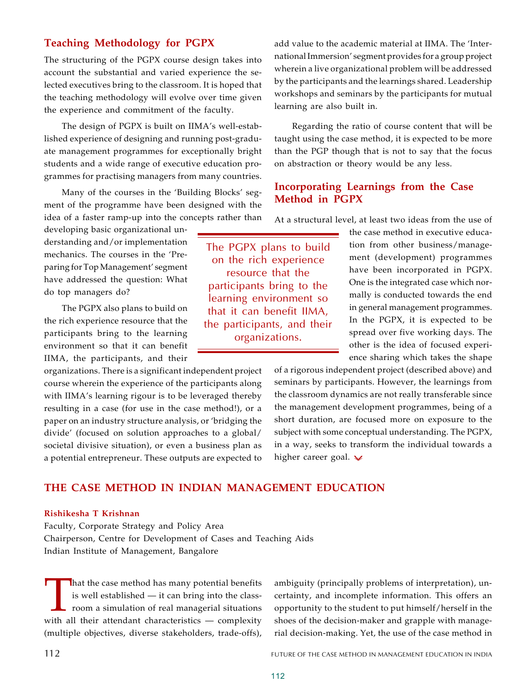# **Teaching Methodology for PGPX**

The structuring of the PGPX course design takes into account the substantial and varied experience the selected executives bring to the classroom. It is hoped that the teaching methodology will evolve over time given the experience and commitment of the faculty.

The design of PGPX is built on IIMA's well-established experience of designing and running post-graduate management programmes for exceptionally bright students and a wide range of executive education programmes for practising managers from many countries.

Many of the courses in the 'Building Blocks' segment of the programme have been designed with the idea of a faster ramp-up into the concepts rather than

developing basic organizational understanding and/or implementation mechanics. The courses in the 'Preparing for Top Management' segment have addressed the question: What do top managers do?

The PGPX also plans to build on the rich experience resource that the participants bring to the learning environment so that it can benefit IIMA, the participants, and their

organizations. There is a significant independent project course wherein the experience of the participants along with IIMA's learning rigour is to be leveraged thereby resulting in a case (for use in the case method!), or a paper on an industry structure analysis, or 'bridging the divide' (focused on solution approaches to a global/ societal divisive situation), or even a business plan as a potential entrepreneur. These outputs are expected to

add value to the academic material at IIMA. The 'International Immersion' segment provides for a group project wherein a live organizational problem will be addressed by the participants and the learnings shared. Leadership workshops and seminars by the participants for mutual learning are also built in.

Regarding the ratio of course content that will be taught using the case method, it is expected to be more than the PGP though that is not to say that the focus on abstraction or theory would be any less.

# **Incorporating Learnings from the Case Method in PGPX**

At a structural level, at least two ideas from the use of

The PGPX plans to build on the rich experience resource that the participants bring to the learning environment so that it can benefit IIMA, the participants, and their organizations.

the case method in executive education from other business/management (development) programmes have been incorporated in PGPX. One is the integrated case which normally is conducted towards the end in general management programmes. In the PGPX, it is expected to be spread over five working days. The other is the idea of focused experience sharing which takes the shape

of a rigorous independent project (described above) and seminars by participants. However, the learnings from the classroom dynamics are not really transferable since the management development programmes, being of a short duration, are focused more on exposure to the subject with some conceptual understanding. The PGPX, in a way, seeks to transform the individual towards a higher career goal.  $\vee$ 

# **THE CASE METHOD IN INDIAN MANAGEMENT EDUCATION**

### **Rishikesha T Krishnan**

Faculty, Corporate Strategy and Policy Area Chairperson, Centre for Development of Cases and Teaching Aids Indian Institute of Management, Bangalore

That the case method has many potential benefits<br>is well established — it can bring into the class-<br>room a simulation of real managerial situations<br>with all their attendant characteristics — complexity hat the case method has many potential benefits is well established — it can bring into the classroom a simulation of real managerial situations (multiple objectives, diverse stakeholders, trade-offs),

ambiguity (principally problems of interpretation), uncertainty, and incomplete information. This offers an opportunity to the student to put himself/herself in the shoes of the decision-maker and grapple with managerial decision-making. Yet, the use of the case method in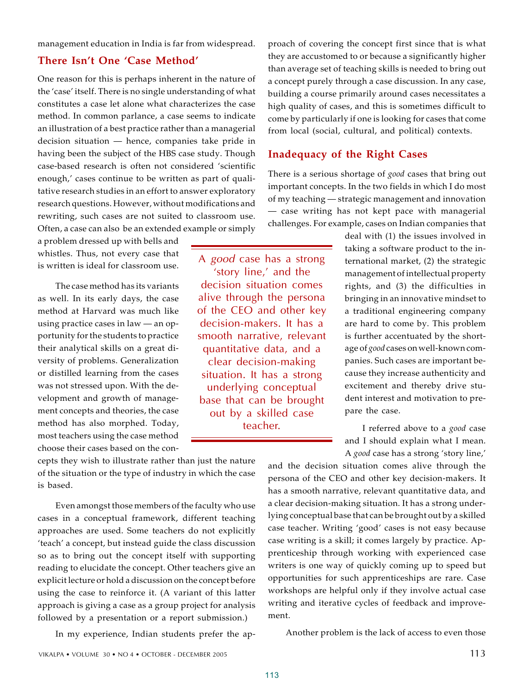management education in India is far from widespread.

# **There Isn't One 'Case Method'**

One reason for this is perhaps inherent in the nature of the 'case' itself. There is no single understanding of what constitutes a case let alone what characterizes the case method. In common parlance, a case seems to indicate an illustration of a best practice rather than a managerial decision situation — hence, companies take pride in having been the subject of the HBS case study. Though case-based research is often not considered 'scientific enough,' cases continue to be written as part of qualitative research studies in an effort to answer exploratory research questions. However, without modifications and rewriting, such cases are not suited to classroom use. Often, a case can also be an extended example or simply

a problem dressed up with bells and whistles. Thus, not every case that is written is ideal for classroom use.

The case method has its variants as well. In its early days, the case method at Harvard was much like using practice cases in law — an opportunity for the students to practice their analytical skills on a great diversity of problems. Generalization or distilled learning from the cases was not stressed upon. With the development and growth of management concepts and theories, the case method has also morphed. Today, most teachers using the case method choose their cases based on the con-

cepts they wish to illustrate rather than just the nature of the situation or the type of industry in which the case is based.

Even amongst those members of the faculty who use cases in a conceptual framework, different teaching approaches are used. Some teachers do not explicitly 'teach' a concept, but instead guide the class discussion so as to bring out the concept itself with supporting reading to elucidate the concept. Other teachers give an explicit lecture or hold a discussion on the concept before using the case to reinforce it. (A variant of this latter approach is giving a case as a group project for analysis followed by a presentation or a report submission.)

In my experience, Indian students prefer the ap-

proach of covering the concept first since that is what they are accustomed to or because a significantly higher than average set of teaching skills is needed to bring out a concept purely through a case discussion. In any case, building a course primarily around cases necessitates a high quality of cases, and this is sometimes difficult to come by particularly if one is looking for cases that come from local (social, cultural, and political) contexts.

# **Inadequacy of the Right Cases**

There is a serious shortage of *good* cases that bring out important concepts. In the two fields in which I do most of my teaching — strategic management and innovation — case writing has not kept pace with managerial challenges. For example, cases on Indian companies that

A *good* case has a strong 'story line,' and the decision situation comes alive through the persona of the CEO and other key decision-makers. It has a smooth narrative, relevant quantitative data, and a clear decision-making situation. It has a strong underlying conceptual base that can be brought out by a skilled case teacher.

deal with (1) the issues involved in taking a software product to the international market, (2) the strategic management of intellectual property rights, and (3) the difficulties in bringing in an innovative mindset to a traditional engineering company are hard to come by. This problem is further accentuated by the shortage of *good* cases on well-known companies. Such cases are important because they increase authenticity and excitement and thereby drive student interest and motivation to prepare the case.

I referred above to a *good* case and I should explain what I mean. A *good* case has a strong 'story line,'

and the decision situation comes alive through the persona of the CEO and other key decision-makers. It has a smooth narrative, relevant quantitative data, and a clear decision-making situation. It has a strong underlying conceptual base that can be brought out by a skilled case teacher. Writing 'good' cases is not easy because case writing is a skill; it comes largely by practice. Apprenticeship through working with experienced case writers is one way of quickly coming up to speed but opportunities for such apprenticeships are rare. Case workshops are helpful only if they involve actual case writing and iterative cycles of feedback and improvement.

Another problem is the lack of access to even those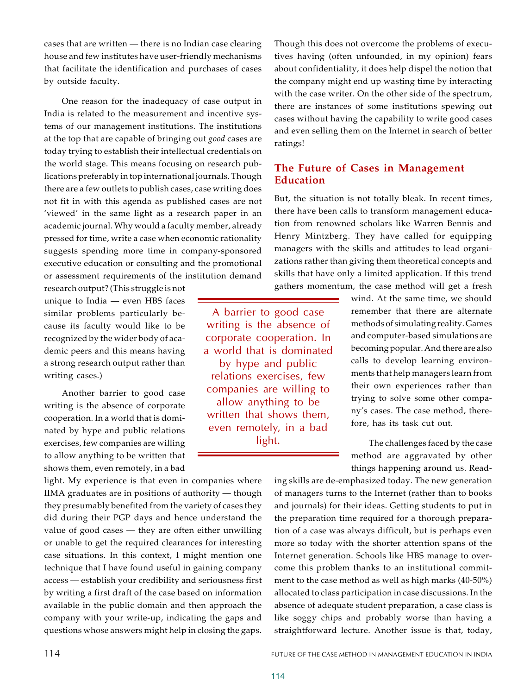cases that are written — there is no Indian case clearing house and few institutes have user-friendly mechanisms that facilitate the identification and purchases of cases by outside faculty.

One reason for the inadequacy of case output in India is related to the measurement and incentive systems of our management institutions. The institutions at the top that are capable of bringing out *good* cases are today trying to establish their intellectual credentials on the world stage. This means focusing on research publications preferably in top international journals. Though there are a few outlets to publish cases, case writing does not fit in with this agenda as published cases are not 'viewed' in the same light as a research paper in an academic journal. Why would a faculty member, already pressed for time, write a case when economic rationality suggests spending more time in company-sponsored executive education or consulting and the promotional or assessment requirements of the institution demand

research output? (This struggle is not unique to India — even HBS faces similar problems particularly because its faculty would like to be recognized by the wider body of academic peers and this means having a strong research output rather than writing cases.)

Another barrier to good case writing is the absence of corporate cooperation. In a world that is dominated by hype and public relations exercises, few companies are willing to allow anything to be written that shows them, even remotely, in a bad

light. My experience is that even in companies where IIMA graduates are in positions of authority — though they presumably benefited from the variety of cases they did during their PGP days and hence understand the value of good cases — they are often either unwilling or unable to get the required clearances for interesting case situations. In this context, I might mention one technique that I have found useful in gaining company access — establish your credibility and seriousness first by writing a first draft of the case based on information available in the public domain and then approach the company with your write-up, indicating the gaps and questions whose answers might help in closing the gaps.

Though this does not overcome the problems of executives having (often unfounded, in my opinion) fears about confidentiality, it does help dispel the notion that the company might end up wasting time by interacting with the case writer. On the other side of the spectrum, there are instances of some institutions spewing out cases without having the capability to write good cases and even selling them on the Internet in search of better ratings!

# **The Future of Cases in Management Education**

But, the situation is not totally bleak. In recent times, there have been calls to transform management education from renowned scholars like Warren Bennis and Henry Mintzberg. They have called for equipping managers with the skills and attitudes to lead organizations rather than giving them theoretical concepts and skills that have only a limited application. If this trend gathers momentum, the case method will get a fresh

A barrier to good case writing is the absence of corporate cooperation. In a world that is dominated by hype and public relations exercises, few companies are willing to allow anything to be written that shows them, even remotely, in a bad light.

wind. At the same time, we should remember that there are alternate methods of simulating reality. Games and computer-based simulations are becoming popular. And there are also calls to develop learning environments that help managers learn from their own experiences rather than trying to solve some other company's cases. The case method, therefore, has its task cut out.

The challenges faced by the case method are aggravated by other things happening around us. Read-

ing skills are de-emphasized today. The new generation of managers turns to the Internet (rather than to books and journals) for their ideas. Getting students to put in the preparation time required for a thorough preparation of a case was always difficult, but is perhaps even more so today with the shorter attention spans of the Internet generation. Schools like HBS manage to overcome this problem thanks to an institutional commitment to the case method as well as high marks (40-50%) allocated to class participation in case discussions. In the absence of adequate student preparation, a case class is like soggy chips and probably worse than having a straightforward lecture. Another issue is that, today,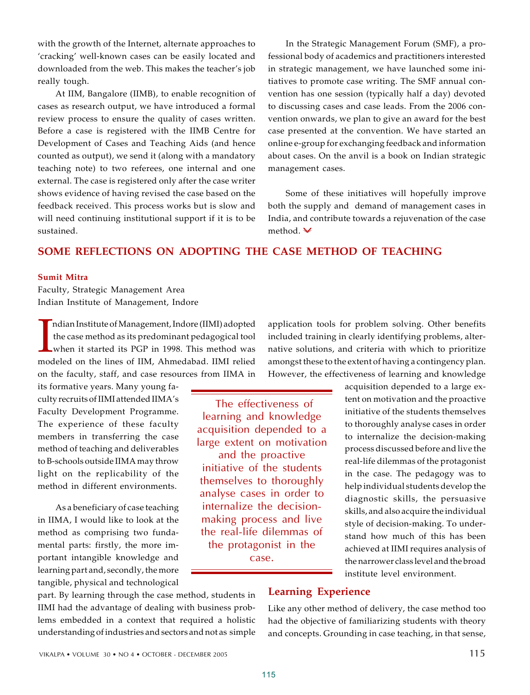with the growth of the Internet, alternate approaches to 'cracking' well-known cases can be easily located and downloaded from the web. This makes the teacher's job really tough.

At IIM, Bangalore (IIMB), to enable recognition of cases as research output, we have introduced a formal review process to ensure the quality of cases written. Before a case is registered with the IIMB Centre for Development of Cases and Teaching Aids (and hence counted as output), we send it (along with a mandatory teaching note) to two referees, one internal and one external. The case is registered only after the case writer shows evidence of having revised the case based on the feedback received. This process works but is slow and will need continuing institutional support if it is to be sustained.

In the Strategic Management Forum (SMF), a professional body of academics and practitioners interested in strategic management, we have launched some initiatives to promote case writing. The SMF annual convention has one session (typically half a day) devoted to discussing cases and case leads. From the 2006 convention onwards, we plan to give an award for the best case presented at the convention. We have started an online e-group for exchanging feedback and information about cases. On the anvil is a book on Indian strategic management cases.

Some of these initiatives will hopefully improve both the supply and demand of management cases in India, and contribute towards a rejuvenation of the case method.  $\blacktriangleright$ 

# **SOME REFLECTIONS ON ADOPTING THE CASE METHOD OF TEACHING**

### **Sumit Mitra**

Faculty, Strategic Management Area Indian Institute of Management, Indore

ndian Institute of Management, Indore (IIMI) adopted<br>the case method as its predominant pedagogical tool<br>when it started its PGP in 1998. This method was<br>modeled on the lines of IIM, Ahmedabad. IIMI relied ndian Institute of Management, Indore (IIMI) adopted the case method as its predominant pedagogical tool when it started its PGP in 1998. This method was on the faculty, staff, and case resources from IIMA in

its formative years. Many young faculty recruits of IIMI attended IIMA's Faculty Development Programme. The experience of these faculty members in transferring the case method of teaching and deliverables to B-schools outside IIMA may throw light on the replicability of the method in different environments.

As a beneficiary of case teaching in IIMA, I would like to look at the method as comprising two fundamental parts: firstly, the more important intangible knowledge and learning part and, secondly, the more tangible, physical and technological

 The effectiveness of learning and knowledge acquisition depended to a large extent on motivation and the proactive initiative of the students themselves to thoroughly analyse cases in order to internalize the decisionmaking process and live the real-life dilemmas of the protagonist in the case.

application tools for problem solving. Other benefits included training in clearly identifying problems, alternative solutions, and criteria with which to prioritize amongst these to the extent of having a contingency plan. However, the effectiveness of learning and knowledge

acquisition depended to a large extent on motivation and the proactive initiative of the students themselves to thoroughly analyse cases in order to internalize the decision-making process discussed before and live the real-life dilemmas of the protagonist in the case. The pedagogy was to help individual students develop the diagnostic skills, the persuasive skills, and also acquire the individual style of decision-making. To understand how much of this has been achieved at IIMI requires analysis of the narrower class level and the broad institute level environment.

## **Learning Experience**

Like any other method of delivery, the case method too had the objective of familiarizing students with theory and concepts. Grounding in case teaching, in that sense,

part. By learning through the case method, students in IIMI had the advantage of dealing with business problems embedded in a context that required a holistic understanding of industries and sectors and not as simple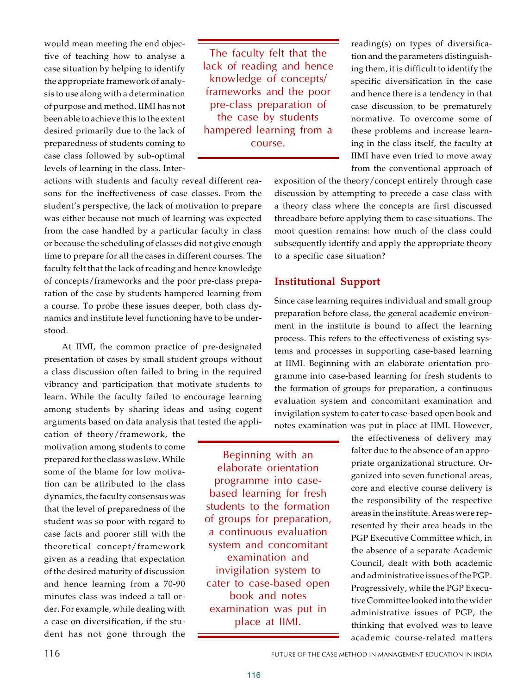would mean meeting the end objective of teaching how to analyse a case situation by helping to identify the appropriate framework of analysis to use along with a determination of purpose and method. IIMI has not been able to achieve this to the extent desired primarily due to the lack of preparedness of students coming to case class followed by sub-optimal levels of learning in the class. Inter-

The faculty felt that the lack of reading and hence knowledge of concepts/ frameworks and the poor pre-class preparation of the case by students hampered learning from a course.

actions with students and faculty reveal different reasons for the ineffectiveness of case classes. From the student's perspective, the lack of motivation to prepare was either because not much of learning was expected from the case handled by a particular faculty in class or because the scheduling of classes did not give enough time to prepare for all the cases in different courses. The faculty felt that the lack of reading and hence knowledge of concepts/frameworks and the poor pre-class preparation of the case by students hampered learning from a course. To probe these issues deeper, both class dynamics and institute level functioning have to be understood.

At IIMI, the common practice of pre-designated presentation of cases by small student groups without a class discussion often failed to bring in the required vibrancy and participation that motivate students to learn. While the faculty failed to encourage learning among students by sharing ideas and using cogent arguments based on data analysis that tested the appli-

cation of theory/framework, the motivation among students to come prepared for the class was low. While some of the blame for low motivation can be attributed to the class dynamics, the faculty consensus was that the level of preparedness of the student was so poor with regard to case facts and poorer still with the theoretical concept/framework given as a reading that expectation of the desired maturity of discussion and hence learning from a 70-90 minutes class was indeed a tall order. For example, while dealing with a case on diversification, if the student has not gone through the

reading(s) on types of diversification and the parameters distinguishing them, it is difficult to identify the specific diversification in the case and hence there is a tendency in that case discussion to be prematurely normative. To overcome some of these problems and increase learning in the class itself, the faculty at IIMI have even tried to move away from the conventional approach of

exposition of the theory/concept entirely through case discussion by attempting to precede a case class with a theory class where the concepts are first discussed threadbare before applying them to case situations. The moot question remains: how much of the class could subsequently identify and apply the appropriate theory to a specific case situation?

# **Institutional Support**

Since case learning requires individual and small group preparation before class, the general academic environment in the institute is bound to affect the learning process. This refers to the effectiveness of existing systems and processes in supporting case-based learning at IIMI. Beginning with an elaborate orientation programme into case-based learning for fresh students to the formation of groups for preparation, a continuous evaluation system and concomitant examination and invigilation system to cater to case-based open book and notes examination was put in place at IIMI. However,

Beginning with an elaborate orientation programme into casebased learning for fresh students to the formation of groups for preparation, a continuous evaluation system and concomitant examination and invigilation system to cater to case-based open book and notes examination was put in place at IIMI.

the effectiveness of delivery may falter due to the absence of an appropriate organizational structure. Organized into seven functional areas, core and elective course delivery is the responsibility of the respective areas in the institute. Areas were represented by their area heads in the PGP Executive Committee which, in the absence of a separate Academic Council, dealt with both academic and administrative issues of the PGP. Progressively, while the PGP Executive Committee looked into the wider administrative issues of PGP, the thinking that evolved was to leave academic course-related matters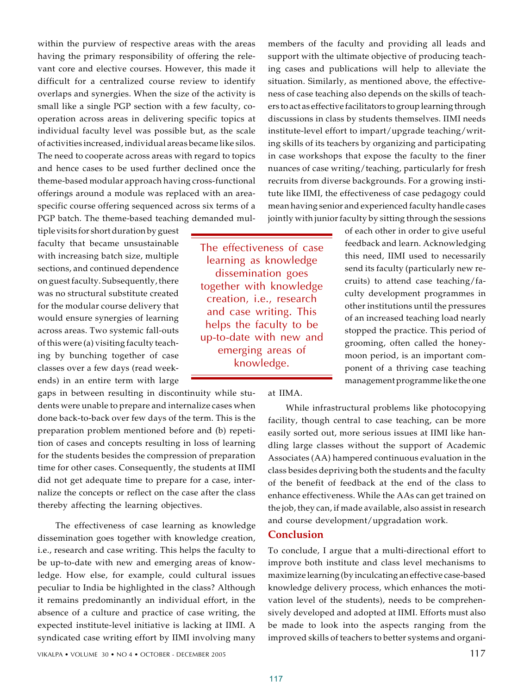within the purview of respective areas with the areas having the primary responsibility of offering the relevant core and elective courses. However, this made it difficult for a centralized course review to identify overlaps and synergies. When the size of the activity is small like a single PGP section with a few faculty, cooperation across areas in delivering specific topics at individual faculty level was possible but, as the scale of activities increased, individual areas became like silos. The need to cooperate across areas with regard to topics and hence cases to be used further declined once the theme-based modular approach having cross-functional offerings around a module was replaced with an areaspecific course offering sequenced across six terms of a PGP batch. The theme-based teaching demanded mul-

tiple visits for short duration by guest faculty that became unsustainable with increasing batch size, multiple sections, and continued dependence on guest faculty. Subsequently, there was no structural substitute created for the modular course delivery that would ensure synergies of learning across areas. Two systemic fall-outs of this were (a) visiting faculty teaching by bunching together of case classes over a few days (read weekends) in an entire term with large

gaps in between resulting in discontinuity while students were unable to prepare and internalize cases when done back-to-back over few days of the term. This is the preparation problem mentioned before and (b) repetition of cases and concepts resulting in loss of learning for the students besides the compression of preparation time for other cases. Consequently, the students at IIMI did not get adequate time to prepare for a case, internalize the concepts or reflect on the case after the class thereby affecting the learning objectives.

The effectiveness of case learning as knowledge dissemination goes together with knowledge creation, i.e., research and case writing. This helps the faculty to be up-to-date with new and emerging areas of knowledge. How else, for example, could cultural issues peculiar to India be highlighted in the class? Although it remains predominantly an individual effort, in the absence of a culture and practice of case writing, the expected institute-level initiative is lacking at IIMI. A syndicated case writing effort by IIMI involving many

The effectiveness of case learning as knowledge dissemination goes together with knowledge creation, i.e., research and case writing. This helps the faculty to be up-to-date with new and emerging areas of knowledge.

members of the faculty and providing all leads and support with the ultimate objective of producing teaching cases and publications will help to alleviate the situation. Similarly, as mentioned above, the effectiveness of case teaching also depends on the skills of teachers to act as effective facilitators to group learning through discussions in class by students themselves. IIMI needs institute-level effort to impart/upgrade teaching/writing skills of its teachers by organizing and participating in case workshops that expose the faculty to the finer nuances of case writing/teaching, particularly for fresh recruits from diverse backgrounds. For a growing institute like IIMI, the effectiveness of case pedagogy could mean having senior and experienced faculty handle cases jointly with junior faculty by sitting through the sessions

of each other in order to give useful feedback and learn. Acknowledging this need, IIMI used to necessarily send its faculty (particularly new recruits) to attend case teaching/faculty development programmes in other institutions until the pressures of an increased teaching load nearly stopped the practice. This period of grooming, often called the honeymoon period, is an important component of a thriving case teaching management programme like the one

at IIMA.

While infrastructural problems like photocopying facility, though central to case teaching, can be more easily sorted out, more serious issues at IIMI like handling large classes without the support of Academic Associates (AA) hampered continuous evaluation in the class besides depriving both the students and the faculty of the benefit of feedback at the end of the class to enhance effectiveness. While the AAs can get trained on the job, they can, if made available, also assist in research and course development/upgradation work.

### **Conclusion**

To conclude, I argue that a multi-directional effort to improve both institute and class level mechanisms to maximize learning (by inculcating an effective case-based knowledge delivery process, which enhances the motivation level of the students), needs to be comprehensively developed and adopted at IIMI. Efforts must also be made to look into the aspects ranging from the improved skills of teachers to better systems and organi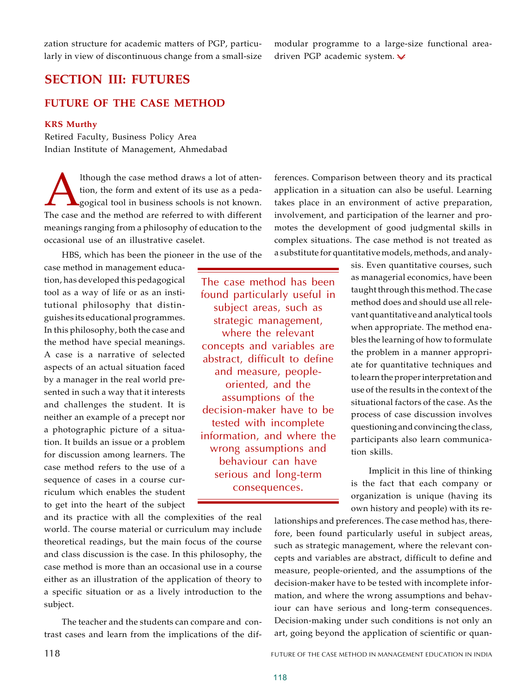zation structure for academic matters of PGP, particularly in view of discontinuous change from a small-size

# **SECTION III: FUTURES**

# **FUTURE OF THE CASE METHOD**

### **KRS Murthy**

Retired Faculty, Business Policy Area Indian Institute of Management, Ahmedabad

Ithough the case method draws a lot of attention, the form and extent of its use as a pedagogical tool in business schools is not known.<br>The case and the method are referred to with different lthough the case method draws a lot of attention, the form and extent of its use as a pedagogical tool in business schools is not known. meanings ranging from a philosophy of education to the occasional use of an illustrative caselet.

HBS, which has been the pioneer in the use of the

case method in management education, has developed this pedagogical tool as a way of life or as an institutional philosophy that distinguishes its educational programmes. In this philosophy, both the case and the method have special meanings. A case is a narrative of selected aspects of an actual situation faced by a manager in the real world presented in such a way that it interests and challenges the student. It is neither an example of a precept nor a photographic picture of a situation. It builds an issue or a problem for discussion among learners. The case method refers to the use of a sequence of cases in a course curriculum which enables the student to get into the heart of the subject

The case method has been found particularly useful in subject areas, such as strategic management, where the relevant concepts and variables are abstract, difficult to define and measure, peopleoriented, and the assumptions of the decision-maker have to be tested with incomplete information, and where the wrong assumptions and behaviour can have serious and long-term consequences.

ferences. Comparison between theory and its practical application in a situation can also be useful. Learning takes place in an environment of active preparation, involvement, and participation of the learner and promotes the development of good judgmental skills in complex situations. The case method is not treated as a substitute for quantitative models, methods, and analy-

> sis. Even quantitative courses, such as managerial economics, have been taught through this method. The case method does and should use all relevant quantitative and analytical tools when appropriate. The method enables the learning of how to formulate the problem in a manner appropriate for quantitative techniques and to learn the proper interpretation and use of the results in the context of the situational factors of the case. As the process of case discussion involves questioning and convincing the class, participants also learn communication skills.

> Implicit in this line of thinking is the fact that each company or organization is unique (having its own history and people) with its re-

and its practice with all the complexities of the real world. The course material or curriculum may include theoretical readings, but the main focus of the course and class discussion is the case. In this philosophy, the case method is more than an occasional use in a course either as an illustration of the application of theory to a specific situation or as a lively introduction to the subject.

The teacher and the students can compare and contrast cases and learn from the implications of the diflationships and preferences. The case method has, therefore, been found particularly useful in subject areas, such as strategic management, where the relevant concepts and variables are abstract, difficult to define and measure, people-oriented, and the assumptions of the decision-maker have to be tested with incomplete information, and where the wrong assumptions and behaviour can have serious and long-term consequences. Decision-making under such conditions is not only an art, going beyond the application of scientific or quan-

modular programme to a large-size functional areadriven PGP academic system.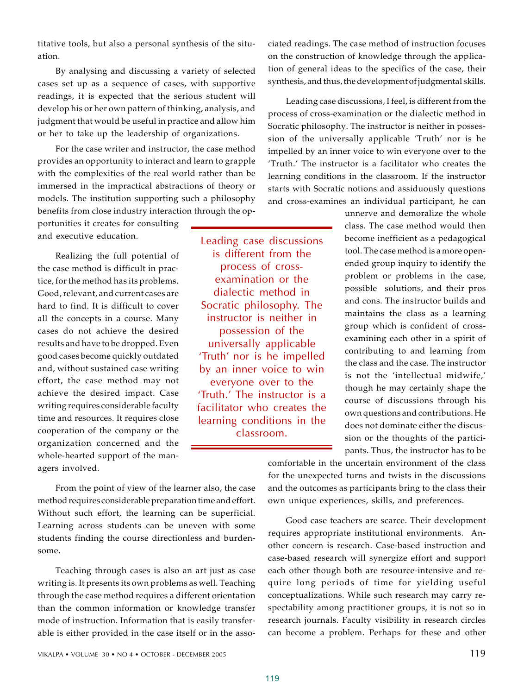writing requires considerable faculty time and resources. It requires close

> cooperation of the company or the organization concerned and the whole-hearted support of the managers involved. From the point of view of the learner also, the case

some.

Leading case discussions is different from the process of crossexamination or the dialectic method in Socratic philosophy. The instructor is neither in possession of the universally applicable 'Truth' nor is he impelled by an inner voice to win everyone over to the 'Truth.' The instructor is a facilitator who creates the learning conditions in the classroom.

titative tools, but also a personal synthesis of the situation.

By analysing and discussing a variety of selected cases set up as a sequence of cases, with supportive readings, it is expected that the serious student will develop his or her own pattern of thinking, analysis, and judgment that would be useful in practice and allow him or her to take up the leadership of organizations.

For the case writer and instructor, the case method provides an opportunity to interact and learn to grapple with the complexities of the real world rather than be immersed in the impractical abstractions of theory or models. The institution supporting such a philosophy benefits from close industry interaction through the op-

portunities it creates for consulting and executive education.

Realizing the full potential of the case method is difficult in practice, for the method has its problems. Good, relevant, and current cases are hard to find. It is difficult to cover all the concepts in a course. Many cases do not achieve the desired results and have to be dropped. Even good cases become quickly outdated and, without sustained case writing effort, the case method may not achieve the desired impact. Case ciated readings. The case method of instruction focuses on the construction of knowledge through the application of general ideas to the specifics of the case, their synthesis, and thus, the development of judgmental skills.

Leading case discussions, I feel, is different from the process of cross-examination or the dialectic method in Socratic philosophy. The instructor is neither in possession of the universally applicable 'Truth' nor is he impelled by an inner voice to win everyone over to the 'Truth.' The instructor is a facilitator who creates the learning conditions in the classroom. If the instructor starts with Socratic notions and assiduously questions and cross-examines an individual participant, he can

> unnerve and demoralize the whole class. The case method would then become inefficient as a pedagogical tool. The case method is a more openended group inquiry to identify the problem or problems in the case, possible solutions, and their pros and cons. The instructor builds and maintains the class as a learning group which is confident of crossexamining each other in a spirit of contributing to and learning from the class and the case. The instructor is not the 'intellectual midwife,' though he may certainly shape the course of discussions through his own questions and contributions. He does not dominate either the discussion or the thoughts of the participants. Thus, the instructor has to be

comfortable in the uncertain environment of the class for the unexpected turns and twists in the discussions and the outcomes as participants bring to the class their own unique experiences, skills, and preferences.

Good case teachers are scarce. Their development requires appropriate institutional environments. Another concern is research. Case-based instruction and case-based research will synergize effort and support each other though both are resource-intensive and require long periods of time for yielding useful conceptualizations. While such research may carry respectability among practitioner groups, it is not so in research journals. Faculty visibility in research circles can become a problem. Perhaps for these and other

method requires considerable preparation time and effort. Without such effort, the learning can be superficial. Learning across students can be uneven with some students finding the course directionless and burden-

Teaching through cases is also an art just as case writing is. It presents its own problems as well. Teaching through the case method requires a different orientation than the common information or knowledge transfer mode of instruction. Information that is easily transferable is either provided in the case itself or in the asso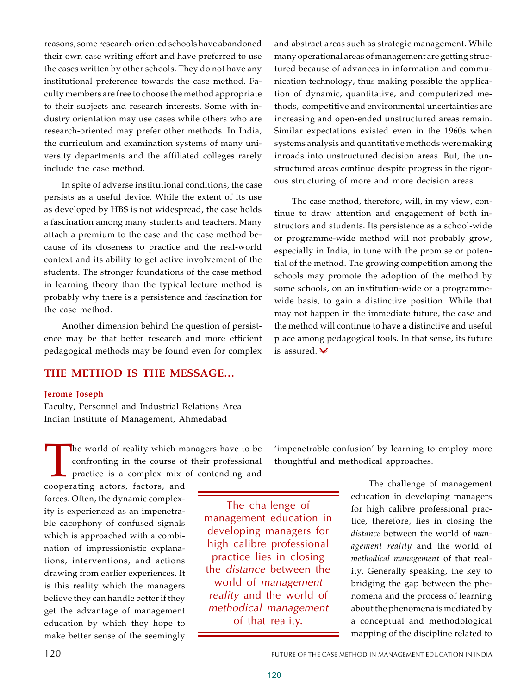reasons, some research-oriented schools have abandoned their own case writing effort and have preferred to use the cases written by other schools. They do not have any institutional preference towards the case method. Faculty members are free to choose the method appropriate to their subjects and research interests. Some with industry orientation may use cases while others who are research-oriented may prefer other methods. In India, the curriculum and examination systems of many university departments and the affiliated colleges rarely include the case method.

In spite of adverse institutional conditions, the case persists as a useful device. While the extent of its use as developed by HBS is not widespread, the case holds a fascination among many students and teachers. Many attach a premium to the case and the case method because of its closeness to practice and the real-world context and its ability to get active involvement of the students. The stronger foundations of the case method in learning theory than the typical lecture method is probably why there is a persistence and fascination for the case method.

Another dimension behind the question of persistence may be that better research and more efficient pedagogical methods may be found even for complex

# **THE METHOD IS THE MESSAGE…**

### **Jerome Joseph**

Faculty, Personnel and Industrial Relations Area Indian Institute of Management, Ahmedabad

The world of reality which m<br>confronting in the course of<br>practice is a complex mix<br>cooperating actors, factors, and he world of reality which managers have to be confronting in the course of their professional practice is a complex mix of contending and

forces. Often, the dynamic complexity is experienced as an impenetrable cacophony of confused signals which is approached with a combination of impressionistic explanations, interventions, and actions drawing from earlier experiences. It is this reality which the managers believe they can handle better if they get the advantage of management education by which they hope to make better sense of the seemingly

The challenge of management education in developing managers for high calibre professional practice lies in closing the *distance* between the world of *management reality* and the world of *methodical management* of that reality.

and abstract areas such as strategic management. While many operational areas of management are getting structured because of advances in information and communication technology, thus making possible the application of dynamic, quantitative, and computerized methods, competitive and environmental uncertainties are increasing and open-ended unstructured areas remain. Similar expectations existed even in the 1960s when systems analysis and quantitative methods were making inroads into unstructured decision areas. But, the unstructured areas continue despite progress in the rigorous structuring of more and more decision areas.

The case method, therefore, will, in my view, continue to draw attention and engagement of both instructors and students. Its persistence as a school-wide or programme-wide method will not probably grow, especially in India, in tune with the promise or potential of the method. The growing competition among the schools may promote the adoption of the method by some schools, on an institution-wide or a programmewide basis, to gain a distinctive position. While that may not happen in the immediate future, the case and the method will continue to have a distinctive and useful place among pedagogical tools. In that sense, its future is assured.

'impenetrable confusion' by learning to employ more thoughtful and methodical approaches.

> The challenge of management education in developing managers for high calibre professional practice, therefore, lies in closing the *distance* between the world of *management reality* and the world of *methodical management* of that reality. Generally speaking, the key to bridging the gap between the phenomena and the process of learning about the phenomena is mediated by a conceptual and methodological mapping of the discipline related to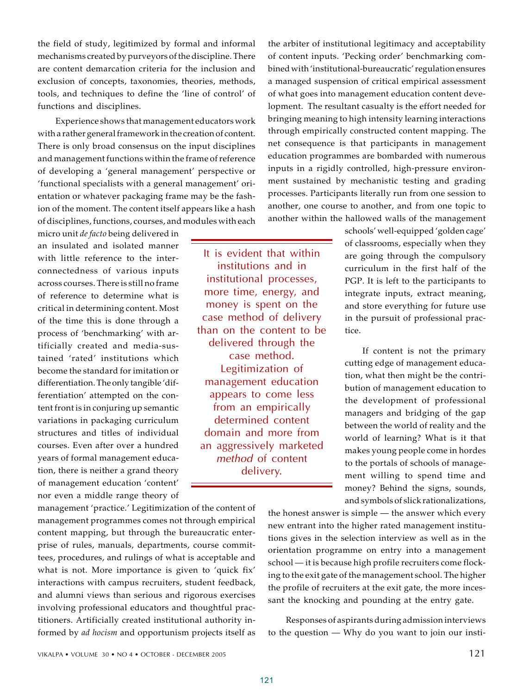the field of study, legitimized by formal and informal mechanisms created by purveyors of the discipline. There are content demarcation criteria for the inclusion and exclusion of concepts, taxonomies, theories, methods, tools, and techniques to define the 'line of control' of functions and disciplines.

Experience shows that management educators work with a rather general framework in the creation of content. There is only broad consensus on the input disciplines and management functions within the frame of reference of developing a 'general management' perspective or 'functional specialists with a general management' orientation or whatever packaging frame may be the fashion of the moment. The content itself appears like a hash of disciplines, functions, courses, and modules with each

micro unit *de facto* being delivered in an insulated and isolated manner with little reference to the interconnectedness of various inputs across courses. There is still no frame of reference to determine what is critical in determining content. Most of the time this is done through a process of 'benchmarking' with artificially created and media-sustained 'rated' institutions which become the standard for imitation or differentiation. The only tangible 'differentiation' attempted on the content front is in conjuring up semantic variations in packaging curriculum structures and titles of individual courses. Even after over a hundred years of formal management education, there is neither a grand theory of management education 'content' nor even a middle range theory of

management 'practice.' Legitimization of the content of management programmes comes not through empirical content mapping, but through the bureaucratic enterprise of rules, manuals, departments, course committees, procedures, and rulings of what is acceptable and what is not. More importance is given to 'quick fix' interactions with campus recruiters, student feedback, and alumni views than serious and rigorous exercises involving professional educators and thoughtful practitioners. Artificially created institutional authority informed by *ad hocism* and opportunism projects itself as

It is evident that within institutions and in institutional processes, more time, energy, and money is spent on the case method of delivery than on the content to be delivered through the case method. Legitimization of management education appears to come less from an empirically determined content domain and more from an aggressively marketed *method* of content delivery.

the arbiter of institutional legitimacy and acceptability of content inputs. 'Pecking order' benchmarking combined with 'institutional-bureaucratic' regulation ensures a managed suspension of critical empirical assessment of what goes into management education content development. The resultant casualty is the effort needed for bringing meaning to high intensity learning interactions through empirically constructed content mapping. The net consequence is that participants in management education programmes are bombarded with numerous inputs in a rigidly controlled, high-pressure environment sustained by mechanistic testing and grading processes. Participants literally run from one session to another, one course to another, and from one topic to another within the hallowed walls of the management

> schools' well-equipped 'golden cage' of classrooms, especially when they are going through the compulsory curriculum in the first half of the PGP. It is left to the participants to integrate inputs, extract meaning, and store everything for future use in the pursuit of professional practice.

> If content is not the primary cutting edge of management education, what then might be the contribution of management education to the development of professional managers and bridging of the gap between the world of reality and the world of learning? What is it that makes young people come in hordes to the portals of schools of management willing to spend time and money? Behind the signs, sounds, and symbols of slick rationalizations,

the honest answer is simple — the answer which every new entrant into the higher rated management institutions gives in the selection interview as well as in the orientation programme on entry into a management school — it is because high profile recruiters come flocking to the exit gate of the management school. The higher the profile of recruiters at the exit gate, the more incessant the knocking and pounding at the entry gate.

Responses of aspirants during admission interviews to the question — Why do you want to join our insti-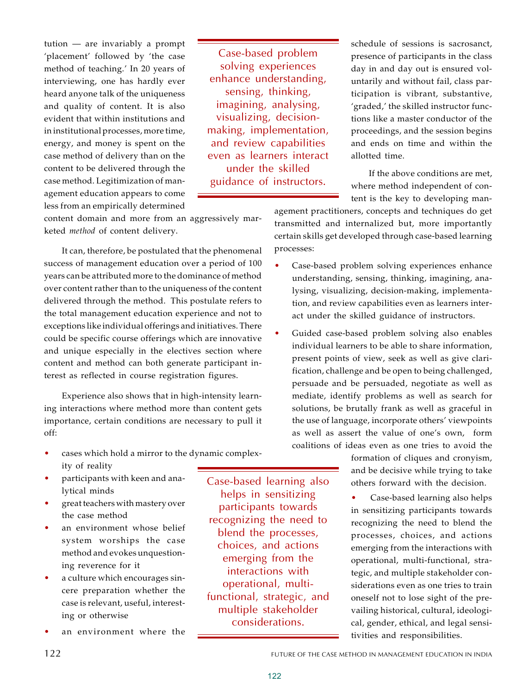tution — are invariably a prompt 'placement' followed by 'the case method of teaching.' In 20 years of interviewing, one has hardly ever heard anyone talk of the uniqueness and quality of content. It is also evident that within institutions and in institutional processes, more time, energy, and money is spent on the case method of delivery than on the content to be delivered through the case method. Legitimization of management education appears to come less from an empirically determined

Case-based problem solving experiences enhance understanding, sensing, thinking, imagining, analysing, visualizing, decisionmaking, implementation, and review capabilities even as learners interact under the skilled guidance of instructors.

schedule of sessions is sacrosanct, presence of participants in the class day in and day out is ensured voluntarily and without fail, class participation is vibrant, substantive, 'graded,' the skilled instructor functions like a master conductor of the proceedings, and the session begins and ends on time and within the allotted time.

If the above conditions are met, where method independent of content is the key to developing man-

content domain and more from an aggressively marketed *method* of content delivery.

It can, therefore, be postulated that the phenomenal success of management education over a period of 100 years can be attributed more to the dominance of method over content rather than to the uniqueness of the content delivered through the method. This postulate refers to the total management education experience and not to exceptions like individual offerings and initiatives. There could be specific course offerings which are innovative and unique especially in the electives section where content and method can both generate participant interest as reflected in course registration figures.

Experience also shows that in high-intensity learning interactions where method more than content gets importance, certain conditions are necessary to pull it off:

- cases which hold a mirror to the dynamic complexity of reality
- participants with keen and analytical minds
- great teachers with mastery over the case method
- an environment whose belief system worships the case method and evokes unquestioning reverence for it
- a culture which encourages sincere preparation whether the case is relevant, useful, interesting or otherwise
- an environment where the

Case-based learning also helps in sensitizing participants towards recognizing the need to blend the processes, choices, and actions emerging from the interactions with operational, multifunctional, strategic, and multiple stakeholder considerations.

agement practitioners, concepts and techniques do get transmitted and internalized but, more importantly certain skills get developed through case-based learning processes:

- Case-based problem solving experiences enhance understanding, sensing, thinking, imagining, analysing, visualizing, decision-making, implementation, and review capabilities even as learners interact under the skilled guidance of instructors.
- Guided case-based problem solving also enables individual learners to be able to share information, present points of view, seek as well as give clarification, challenge and be open to being challenged, persuade and be persuaded, negotiate as well as mediate, identify problems as well as search for solutions, be brutally frank as well as graceful in the use of language, incorporate others' viewpoints as well as assert the value of one's own, form coalitions of ideas even as one tries to avoid the

formation of cliques and cronyism, and be decisive while trying to take others forward with the decision.

Case-based learning also helps in sensitizing participants towards recognizing the need to blend the processes, choices, and actions emerging from the interactions with operational, multi-functional, strategic, and multiple stakeholder considerations even as one tries to train oneself not to lose sight of the prevailing historical, cultural, ideological, gender, ethical, and legal sensitivities and responsibilities.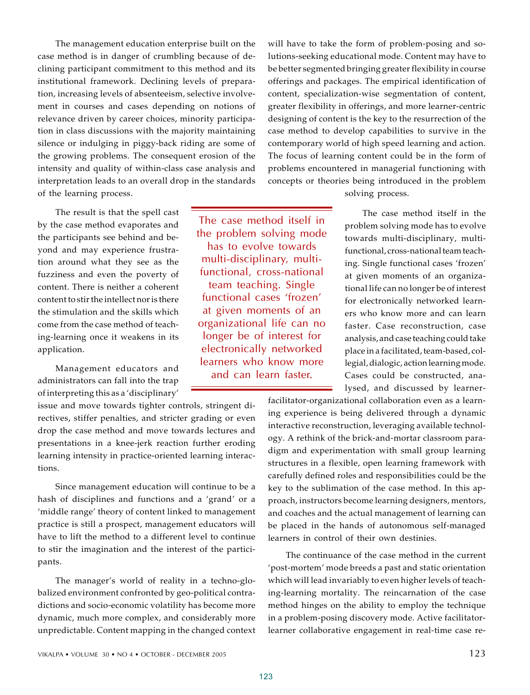The management education enterprise built on the case method is in danger of crumbling because of declining participant commitment to this method and its institutional framework. Declining levels of preparation, increasing levels of absenteeism, selective involvement in courses and cases depending on notions of relevance driven by career choices, minority participation in class discussions with the majority maintaining silence or indulging in piggy-back riding are some of the growing problems. The consequent erosion of the intensity and quality of within-class case analysis and interpretation leads to an overall drop in the standards of the learning process.

The result is that the spell cast by the case method evaporates and the participants see behind and beyond and may experience frustration around what they see as the fuzziness and even the poverty of content. There is neither a coherent content to stir the intellect nor is there the stimulation and the skills which come from the case method of teaching-learning once it weakens in its application.

Management educators and administrators can fall into the trap of interpreting this as a 'disciplinary'

issue and move towards tighter controls, stringent directives, stiffer penalties, and stricter grading or even drop the case method and move towards lectures and presentations in a knee-jerk reaction further eroding learning intensity in practice-oriented learning interactions.

Since management education will continue to be a hash of disciplines and functions and a 'grand' or a 'middle range' theory of content linked to management practice is still a prospect, management educators will have to lift the method to a different level to continue to stir the imagination and the interest of the participants.

The manager's world of reality in a techno-globalized environment confronted by geo-political contradictions and socio-economic volatility has become more dynamic, much more complex, and considerably more unpredictable. Content mapping in the changed context

The case method itself in the problem solving mode has to evolve towards multi-disciplinary, multifunctional, cross-national team teaching. Single functional cases 'frozen' at given moments of an organizational life can no longer be of interest for electronically networked learners who know more and can learn faster.

will have to take the form of problem-posing and solutions-seeking educational mode. Content may have to be better segmented bringing greater flexibility in course offerings and packages. The empirical identification of content, specialization-wise segmentation of content, greater flexibility in offerings, and more learner-centric designing of content is the key to the resurrection of the case method to develop capabilities to survive in the contemporary world of high speed learning and action. The focus of learning content could be in the form of problems encountered in managerial functioning with concepts or theories being introduced in the problem solving process.

> The case method itself in the problem solving mode has to evolve towards multi-disciplinary, multifunctional, cross-national team teaching. Single functional cases 'frozen' at given moments of an organizational life can no longer be of interest for electronically networked learners who know more and can learn faster. Case reconstruction, case analysis, and case teaching could take place in a facilitated, team-based, collegial, dialogic, action learning mode. Cases could be constructed, analysed, and discussed by learner-

facilitator-organizational collaboration even as a learning experience is being delivered through a dynamic interactive reconstruction, leveraging available technology. A rethink of the brick-and-mortar classroom paradigm and experimentation with small group learning structures in a flexible, open learning framework with carefully defined roles and responsibilities could be the key to the sublimation of the case method. In this approach, instructors become learning designers, mentors, and coaches and the actual management of learning can be placed in the hands of autonomous self-managed learners in control of their own destinies.

The continuance of the case method in the current 'post-mortem' mode breeds a past and static orientation which will lead invariably to even higher levels of teaching-learning mortality. The reincarnation of the case method hinges on the ability to employ the technique in a problem-posing discovery mode. Active facilitatorlearner collaborative engagement in real-time case re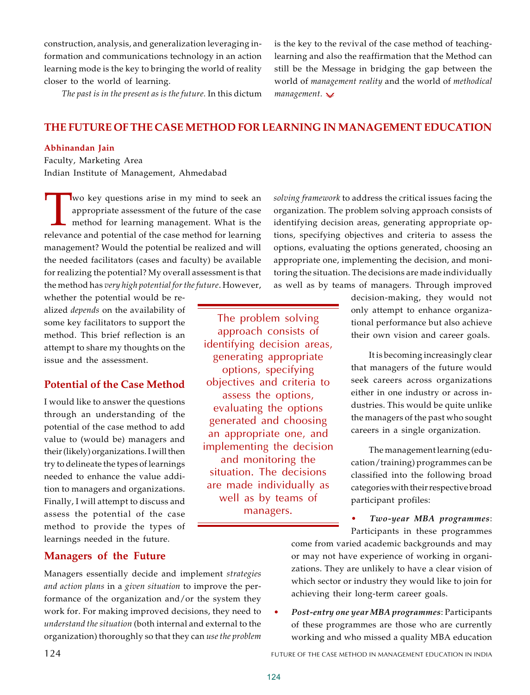construction, analysis, and generalization leveraging information and communications technology in an action learning mode is the key to bringing the world of reality closer to the world of learning.

*The past is in the present as is the future.* In this dictum

is the key to the revival of the case method of teachinglearning and also the reaffirmation that the Method can still be the Message in bridging the gap between the world of *management reality* and the world of *methodical management.*

# **THE FUTURE OF THE CASE METHOD FOR LEARNING IN MANAGEMENT EDUCATION**

### **Abhinandan Jain**

Faculty, Marketing Area Indian Institute of Management, Ahmedabad

I wo key questions arise in my mind to seek an appropriate assessment of the future of the case method for learning management. What is the relevance and potential of the case method for learning wo key questions arise in my mind to seek an appropriate assessment of the future of the case method for learning management. What is the management? Would the potential be realized and will the needed facilitators (cases and faculty) be available for realizing the potential? My overall assessment is that the method has *very high potential for the future*. However,

whether the potential would be realized *depends* on the availability of some key facilitators to support the method. This brief reflection is an attempt to share my thoughts on the issue and the assessment.

### **Potential of the Case Method**

I would like to answer the questions through an understanding of the potential of the case method to add value to (would be) managers and their (likely) organizations. I will then try to delineate the types of learnings needed to enhance the value addition to managers and organizations. Finally, I will attempt to discuss and assess the potential of the case method to provide the types of learnings needed in the future.

The problem solving approach consists of identifying decision areas, generating appropriate options, specifying objectives and criteria to assess the options, evaluating the options generated and choosing an appropriate one, and implementing the decision and monitoring the situation. The decisions are made individually as well as by teams of managers.

*solving framework* to address the critical issues facing the organization. The problem solving approach consists of identifying decision areas, generating appropriate options, specifying objectives and criteria to assess the options, evaluating the options generated, choosing an appropriate one, implementing the decision, and monitoring the situation. The decisions are made individually as well as by teams of managers. Through improved

> decision-making, they would not only attempt to enhance organizational performance but also achieve their own vision and career goals.

> It is becoming increasingly clear that managers of the future would seek careers across organizations either in one industry or across industries. This would be quite unlike the managers of the past who sought careers in a single organization.

> The management learning (education/training) programmes can be classified into the following broad categories with their respective broad participant profiles:

> ï *Two-year MBA programmes*: Participants in these programmes

come from varied academic backgrounds and may or may not have experience of working in organizations. They are unlikely to have a clear vision of which sector or industry they would like to join for achieving their long-term career goals.

Post-entry one year MBA programmes: Participants of these programmes are those who are currently working and who missed a quality MBA education

124 FUTURE OF THE CASE METHOD IN MANAGEMENT EDUCATION IN INDIA

# **Managers of the Future**

Managers essentially decide and implement *strategies and action plans* in a *given situation* to improve the performance of the organization and/or the system they work for. For making improved decisions, they need to *understand the situation* (both internal and external to the organization) thoroughly so that they can *use the problem*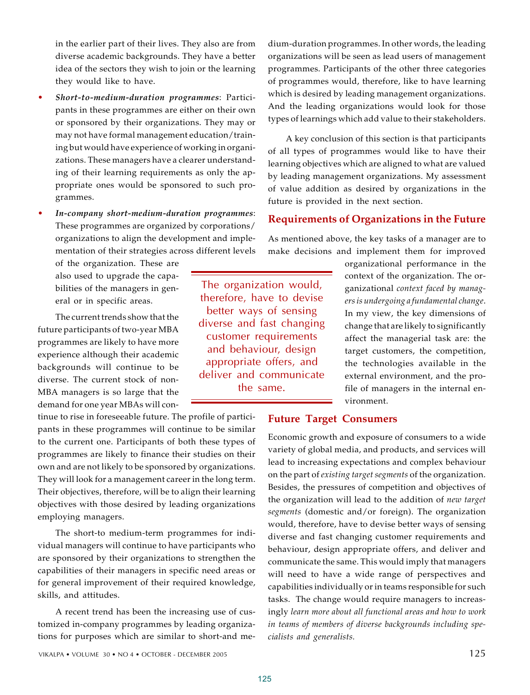in the earlier part of their lives. They also are from diverse academic backgrounds. They have a better idea of the sectors they wish to join or the learning they would like to have.

- **•** Short-to-medium-duration programmes: Participants in these programmes are either on their own or sponsored by their organizations. They may or may not have formal management education/training but would have experience of working in organizations. These managers have a clearer understanding of their learning requirements as only the appropriate ones would be sponsored to such programmes.
- In-company short-medium-duration programmes: These programmes are organized by corporations/ organizations to align the development and implementation of their strategies across different levels

of the organization. These are also used to upgrade the capabilities of the managers in general or in specific areas.

The current trends show that the future participants of two-year MBA programmes are likely to have more experience although their academic backgrounds will continue to be diverse. The current stock of non-MBA managers is so large that the demand for one year MBAs will con-

tinue to rise in foreseeable future. The profile of participants in these programmes will continue to be similar to the current one. Participants of both these types of programmes are likely to finance their studies on their own and are not likely to be sponsored by organizations. They will look for a management career in the long term. Their objectives, therefore, will be to align their learning objectives with those desired by leading organizations employing managers.

The short-to medium-term programmes for individual managers will continue to have participants who are sponsored by their organizations to strengthen the capabilities of their managers in specific need areas or for general improvement of their required knowledge, skills, and attitudes.

A recent trend has been the increasing use of customized in-company programmes by leading organizations for purposes which are similar to short-and medium-duration programmes. In other words, the leading organizations will be seen as lead users of management programmes. Participants of the other three categories of programmes would, therefore, like to have learning which is desired by leading management organizations. And the leading organizations would look for those types of learnings which add value to their stakeholders.

A key conclusion of this section is that participants of all types of programmes would like to have their learning objectives which are aligned to what are valued by leading management organizations. My assessment of value addition as desired by organizations in the future is provided in the next section.

## **Requirements of Organizations in the Future**

As mentioned above, the key tasks of a manager are to make decisions and implement them for improved

> organizational performance in the context of the organization. The organizational *context faced by managers is undergoing a fundamental change*. In my view, the key dimensions of change that are likely to significantly affect the managerial task are: the target customers, the competition, the technologies available in the external environment, and the profile of managers in the internal environment.

# **Future Target Consumers**

Economic growth and exposure of consumers to a wide variety of global media, and products, and services will lead to increasing expectations and complex behaviour on the part of *existing target segments* of the organization. Besides, the pressures of competition and objectives of the organization will lead to the addition of *new target segments* (domestic and/or foreign). The organization would, therefore, have to devise better ways of sensing diverse and fast changing customer requirements and behaviour, design appropriate offers, and deliver and communicate the same. This would imply that managers will need to have a wide range of perspectives and capabilities individually or in teams responsible for such tasks. The change would require managers to increasingly *learn more about all functional areas and how to work in teams of members of diverse backgrounds including specialists and generalists.*

VIKALPA • VOLUME  $30 \cdot NO 4 \cdot OCTOBER - DECEMBER 2005$  125

The organization would, therefore, have to devise better ways of sensing diverse and fast changing customer requirements and behaviour, design appropriate offers, and deliver and communicate the same.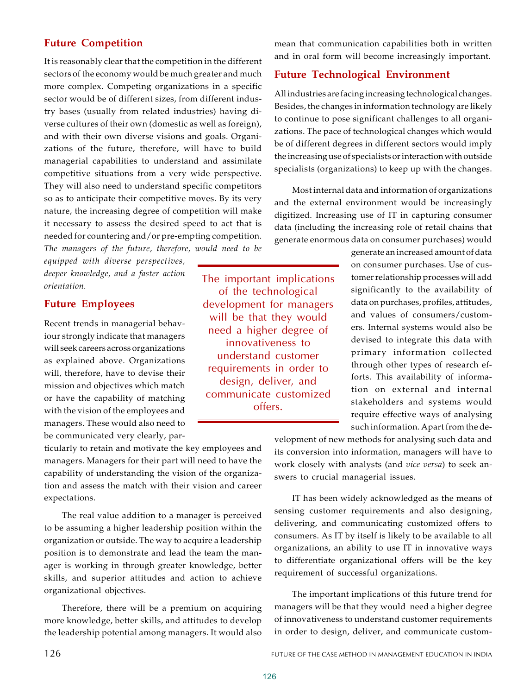# **Future Competition**

It is reasonably clear that the competition in the different sectors of the economy would be much greater and much more complex. Competing organizations in a specific sector would be of different sizes, from different industry bases (usually from related industries) having diverse cultures of their own (domestic as well as foreign), and with their own diverse visions and goals. Organizations of the future, therefore, will have to build managerial capabilities to understand and assimilate competitive situations from a very wide perspective. They will also need to understand specific competitors so as to anticipate their competitive moves. By its very nature, the increasing degree of competition will make it necessary to assess the desired speed to act that is needed for countering and/or pre-empting competition. *The managers of the future, therefore, would need to be*

*equipped with diverse perspectives, deeper knowledge, and a faster action orientation.*

# **Future Employees**

Recent trends in managerial behaviour strongly indicate that managers will seek careers across organizations as explained above. Organizations will, therefore, have to devise their mission and objectives which match or have the capability of matching with the vision of the employees and managers. These would also need to be communicated very clearly, par-

ticularly to retain and motivate the key employees and managers. Managers for their part will need to have the capability of understanding the vision of the organization and assess the match with their vision and career expectations.

The real value addition to a manager is perceived to be assuming a higher leadership position within the organization or outside. The way to acquire a leadership position is to demonstrate and lead the team the manager is working in through greater knowledge, better skills, and superior attitudes and action to achieve organizational objectives.

Therefore, there will be a premium on acquiring more knowledge, better skills, and attitudes to develop the leadership potential among managers. It would also

mean that communication capabilities both in written and in oral form will become increasingly important. **Future Technological Environment**

All industries are facing increasing technological changes. Besides, the changes in information technology are likely to continue to pose significant challenges to all organizations. The pace of technological changes which would be of different degrees in different sectors would imply the increasing use of specialists or interaction with outside specialists (organizations) to keep up with the changes.

Most internal data and information of organizations and the external environment would be increasingly digitized. Increasing use of IT in capturing consumer data (including the increasing role of retail chains that generate enormous data on consumer purchases) would

> generate an increased amount of data on consumer purchases. Use of customer relationship processes will add significantly to the availability of data on purchases, profiles, attitudes, and values of consumers/customers. Internal systems would also be devised to integrate this data with primary information collected through other types of research efforts. This availability of information on external and internal stakeholders and systems would require effective ways of analysing such information. Apart from the de-

velopment of new methods for analysing such data and its conversion into information, managers will have to work closely with analysts (and *vice versa*) to seek answers to crucial managerial issues.

IT has been widely acknowledged as the means of sensing customer requirements and also designing, delivering, and communicating customized offers to consumers. As IT by itself is likely to be available to all organizations, an ability to use IT in innovative ways to differentiate organizational offers will be the key requirement of successful organizations.

The important implications of this future trend for managers will be that they would need a higher degree of innovativeness to understand customer requirements in order to design, deliver, and communicate custom-

The important implications of the technological development for managers will be that they would need a higher degree of innovativeness to understand customer requirements in order to design, deliver, and communicate customized offers.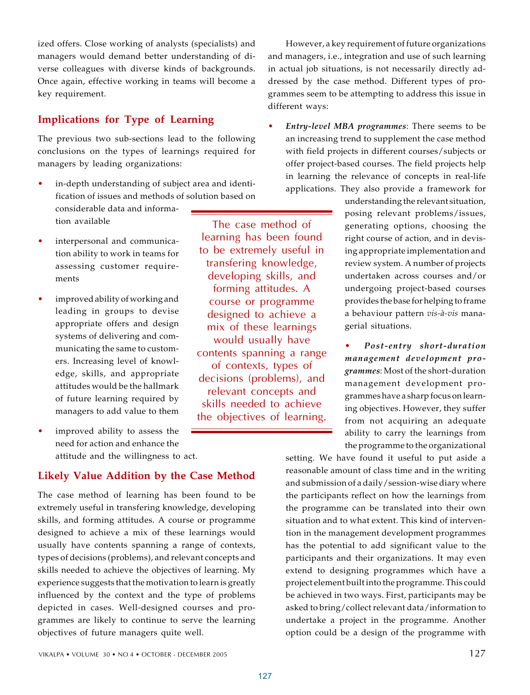ized offers. Close working of analysts (specialists) and managers would demand better understanding of diverse colleagues with diverse kinds of backgrounds. Once again, effective working in teams will become a key requirement.

# **Implications for Type of Learning**

The previous two sub-sections lead to the following conclusions on the types of learnings required for managers by leading organizations:

- in-depth understanding of subject area and identification of issues and methods of solution based on considerable data and information available The case method of
- interpersonal and communication ability to work in teams for assessing customer requirements
- improved ability of working and leading in groups to devise appropriate offers and design systems of delivering and communicating the same to customers. Increasing level of knowledge, skills, and appropriate attitudes would be the hallmark of future learning required by managers to add value to them
- improved ability to assess the need for action and enhance the attitude and the willingness to act.

# **Likely Value Addition by the Case Method**

The case method of learning has been found to be extremely useful in transfering knowledge, developing skills, and forming attitudes. A course or programme designed to achieve a mix of these learnings would usually have contents spanning a range of contexts, types of decisions (problems), and relevant concepts and skills needed to achieve the objectives of learning. My experience suggests that the motivation to learn is greatly influenced by the context and the type of problems depicted in cases. Well-designed courses and programmes are likely to continue to serve the learning objectives of future managers quite well.

However, a key requirement of future organizations and managers, i.e., integration and use of such learning in actual job situations, is not necessarily directly addressed by the case method. Different types of programmes seem to be attempting to address this issue in different ways:

Entry-level MBA programmes: There seems to be an increasing trend to supplement the case method with field projects in different courses/subjects or offer project-based courses. The field projects help in learning the relevance of concepts in real-life applications. They also provide a framework for

> understanding the relevant situation, posing relevant problems/issues, generating options, choosing the right course of action, and in devising appropriate implementation and review system. A number of projects undertaken across courses and/or undergoing project-based courses provides the base for helping to frame a behaviour pattern *vis-à-vis* managerial situations.

> ï *Post-entry short-duration management development programmes*: Most of the short-duration management development programmes have a sharp focus on learning objectives. However, they suffer from not acquiring an adequate ability to carry the learnings from the programme to the organizational

setting. We have found it useful to put aside a reasonable amount of class time and in the writing and submission of a daily/session-wise diary where the participants reflect on how the learnings from the programme can be translated into their own situation and to what extent. This kind of intervention in the management development programmes has the potential to add significant value to the participants and their organizations. It may even extend to designing programmes which have a project element built into the programme. This could be achieved in two ways. First, participants may be asked to bring/collect relevant data/information to undertake a project in the programme. Another option could be a design of the programme with

learning has been found to be extremely useful in transfering knowledge, developing skills, and forming attitudes. A course or programme designed to achieve a mix of these learnings would usually have contents spanning a range of contexts, types of decisions (problems), and relevant concepts and skills needed to achieve the objectives of learning.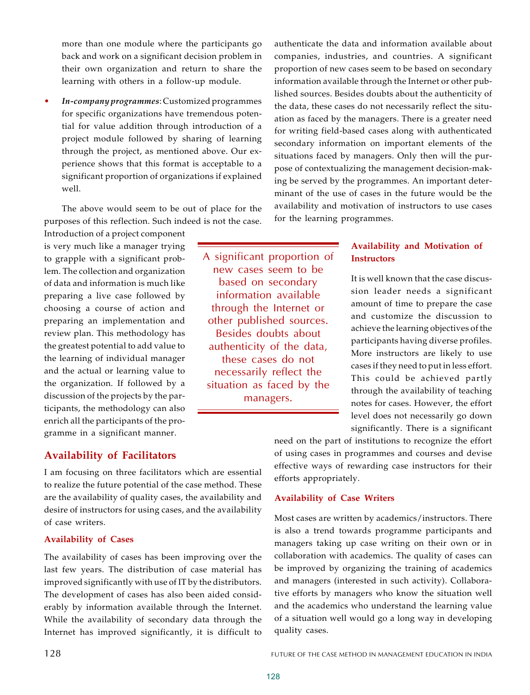more than one module where the participants go back and work on a significant decision problem in their own organization and return to share the learning with others in a follow-up module.

In-company programmes: Customized programmes for specific organizations have tremendous potential for value addition through introduction of a project module followed by sharing of learning through the project, as mentioned above. Our experience shows that this format is acceptable to a significant proportion of organizations if explained well.

The above would seem to be out of place for the purposes of this reflection. Such indeed is not the case.

Introduction of a project component is very much like a manager trying to grapple with a significant problem. The collection and organization of data and information is much like preparing a live case followed by choosing a course of action and preparing an implementation and review plan. This methodology has the greatest potential to add value to the learning of individual manager and the actual or learning value to the organization. If followed by a discussion of the projects by the participants, the methodology can also enrich all the participants of the programme in a significant manner.

A significant proportion of new cases seem to be based on secondary information available through the Internet or other published sources. Besides doubts about authenticity of the data, these cases do not necessarily reflect the situation as faced by the managers.

authenticate the data and information available about companies, industries, and countries. A significant proportion of new cases seem to be based on secondary information available through the Internet or other published sources. Besides doubts about the authenticity of the data, these cases do not necessarily reflect the situation as faced by the managers. There is a greater need for writing field-based cases along with authenticated secondary information on important elements of the situations faced by managers. Only then will the purpose of contextualizing the management decision-making be served by the programmes. An important determinant of the use of cases in the future would be the availability and motivation of instructors to use cases for the learning programmes.

# **Availability and Motivation of Instructors**

It is well known that the case discussion leader needs a significant amount of time to prepare the case and customize the discussion to achieve the learning objectives of the participants having diverse profiles. More instructors are likely to use cases if they need to put in less effort. This could be achieved partly through the availability of teaching notes for cases. However, the effort level does not necessarily go down significantly. There is a significant

# **Availability of Facilitators**

I am focusing on three facilitators which are essential to realize the future potential of the case method. These are the availability of quality cases, the availability and desire of instructors for using cases, and the availability of case writers.

### **Availability of Cases**

The availability of cases has been improving over the last few years. The distribution of case material has improved significantly with use of IT by the distributors. The development of cases has also been aided considerably by information available through the Internet. While the availability of secondary data through the Internet has improved significantly, it is difficult to

need on the part of institutions to recognize the effort of using cases in programmes and courses and devise effective ways of rewarding case instructors for their efforts appropriately.

## **Availability of Case Writers**

Most cases are written by academics/instructors. There is also a trend towards programme participants and managers taking up case writing on their own or in collaboration with academics. The quality of cases can be improved by organizing the training of academics and managers (interested in such activity). Collaborative efforts by managers who know the situation well and the academics who understand the learning value of a situation well would go a long way in developing quality cases.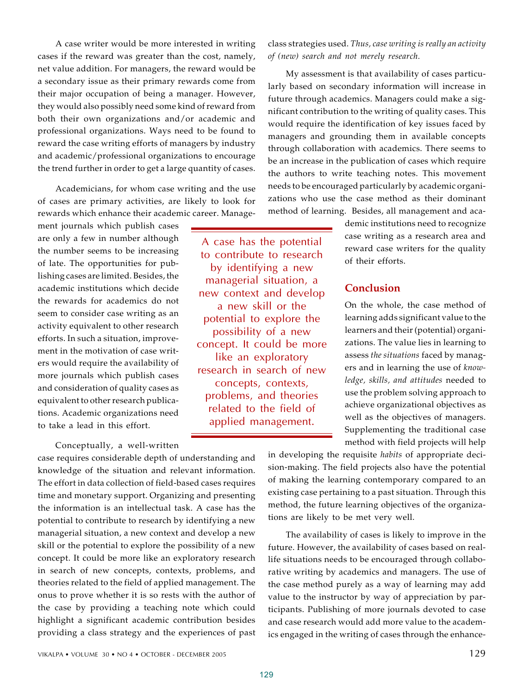A case writer would be more interested in writing cases if the reward was greater than the cost, namely, net value addition. For managers, the reward would be a secondary issue as their primary rewards come from their major occupation of being a manager. However, they would also possibly need some kind of reward from both their own organizations and/or academic and professional organizations. Ways need to be found to reward the case writing efforts of managers by industry and academic/professional organizations to encourage the trend further in order to get a large quantity of cases.

Academicians, for whom case writing and the use of cases are primary activities, are likely to look for rewards which enhance their academic career. Manage-

ment journals which publish cases are only a few in number although the number seems to be increasing of late. The opportunities for publishing cases are limited. Besides, the academic institutions which decide the rewards for academics do not seem to consider case writing as an activity equivalent to other research efforts. In such a situation, improvement in the motivation of case writers would require the availability of more journals which publish cases and consideration of quality cases as equivalent to other research publications. Academic organizations need to take a lead in this effort.

Conceptually, a well-written

case requires considerable depth of understanding and knowledge of the situation and relevant information. The effort in data collection of field-based cases requires time and monetary support. Organizing and presenting the information is an intellectual task. A case has the potential to contribute to research by identifying a new managerial situation, a new context and develop a new skill or the potential to explore the possibility of a new concept. It could be more like an exploratory research in search of new concepts, contexts, problems, and theories related to the field of applied management. The onus to prove whether it is so rests with the author of the case by providing a teaching note which could highlight a significant academic contribution besides providing a class strategy and the experiences of past

A case has the potential to contribute to research by identifying a new managerial situation, a new context and develop a new skill or the potential to explore the possibility of a new concept. It could be more like an exploratory research in search of new concepts, contexts, problems, and theories related to the field of applied management.

class strategies used. *Thus, case writing is really an activity of (new) search and not merely research.*

My assessment is that availability of cases particularly based on secondary information will increase in future through academics. Managers could make a significant contribution to the writing of quality cases. This would require the identification of key issues faced by managers and grounding them in available concepts through collaboration with academics. There seems to be an increase in the publication of cases which require the authors to write teaching notes. This movement needs to be encouraged particularly by academic organizations who use the case method as their dominant method of learning. Besides, all management and aca-

> demic institutions need to recognize case writing as a research area and reward case writers for the quality of their efforts.

# **Conclusion**

On the whole, the case method of learning adds significant value to the learners and their (potential) organizations. The value lies in learning to assess *the situations* faced by managers and in learning the use of *knowledge, skills, and attitudes* needed to use the problem solving approach to achieve organizational objectives as well as the objectives of managers. Supplementing the traditional case method with field projects will help

in developing the requisite *habits* of appropriate decision-making. The field projects also have the potential of making the learning contemporary compared to an existing case pertaining to a past situation. Through this method, the future learning objectives of the organizations are likely to be met very well.

The availability of cases is likely to improve in the future. However, the availability of cases based on reallife situations needs to be encouraged through collaborative writing by academics and managers. The use of the case method purely as a way of learning may add value to the instructor by way of appreciation by participants. Publishing of more journals devoted to case and case research would add more value to the academics engaged in the writing of cases through the enhance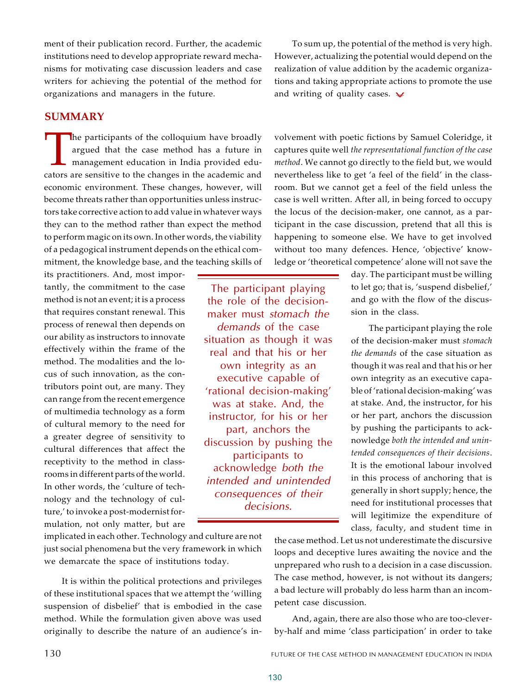ment of their publication record. Further, the academic institutions need to develop appropriate reward mechanisms for motivating case discussion leaders and case writers for achieving the potential of the method for organizations and managers in the future.

### **SUMMARY**

The participants of the colloquium have broadly argued that the case method has a future in management education in India provided educators are sensitive to the changes in the academic and he participants of the colloquium have broadly argued that the case method has a future in management education in India provided edueconomic environment. These changes, however, will become threats rather than opportunities unless instructors take corrective action to add value in whatever ways they can to the method rather than expect the method to perform magic on its own. In other words, the viability of a pedagogical instrument depends on the ethical commitment, the knowledge base, and the teaching skills of

its practitioners. And, most importantly, the commitment to the case method is not an event; it is a process that requires constant renewal. This process of renewal then depends on our ability as instructors to innovate effectively within the frame of the method. The modalities and the locus of such innovation, as the contributors point out, are many. They can range from the recent emergence of multimedia technology as a form of cultural memory to the need for a greater degree of sensitivity to cultural differences that affect the receptivity to the method in classrooms in different parts of the world. In other words, the 'culture of technology and the technology of culture,' to invoke a post-modernist formulation, not only matter, but are

The participant playing the role of the decisionmaker must *stomach the demands* of the case situation as though it was real and that his or her own integrity as an executive capable of 'rational decision-making' was at stake. And, the instructor, for his or her part, anchors the discussion by pushing the participants to acknowledge *both the intended and unintended consequences of their decisions*.

To sum up, the potential of the method is very high. However, actualizing the potential would depend on the realization of value addition by the academic organizations and taking appropriate actions to promote the use and writing of quality cases.  $\vee$ 

volvement with poetic fictions by Samuel Coleridge, it captures quite well *the representational function of the case method*. We cannot go directly to the field but, we would nevertheless like to get 'a feel of the field' in the classroom. But we cannot get a feel of the field unless the case is well written. After all, in being forced to occupy the locus of the decision-maker, one cannot, as a participant in the case discussion, pretend that all this is happening to someone else. We have to get involved without too many defences. Hence, 'objective' knowledge or 'theoretical competence' alone will not save the

> day. The participant must be willing to let go; that is, 'suspend disbelief,' and go with the flow of the discussion in the class.

> The participant playing the role of the decision-maker must *stomach the demands* of the case situation as though it was real and that his or her own integrity as an executive capable of 'rational decision-making' was at stake. And, the instructor, for his or her part, anchors the discussion by pushing the participants to acknowledge *both the intended and unintended consequences of their decisions*. It is the emotional labour involved in this process of anchoring that is generally in short supply; hence, the need for institutional processes that will legitimize the expenditure of class, faculty, and student time in

implicated in each other. Technology and culture are not just social phenomena but the very framework in which we demarcate the space of institutions today.

It is within the political protections and privileges of these institutional spaces that we attempt the 'willing suspension of disbelief' that is embodied in the case method. While the formulation given above was used originally to describe the nature of an audience's in-

the case method. Let us not underestimate the discursive loops and deceptive lures awaiting the novice and the unprepared who rush to a decision in a case discussion. The case method, however, is not without its dangers; a bad lecture will probably do less harm than an incompetent case discussion.

And, again, there are also those who are too-cleverby-half and mime 'class participation' in order to take